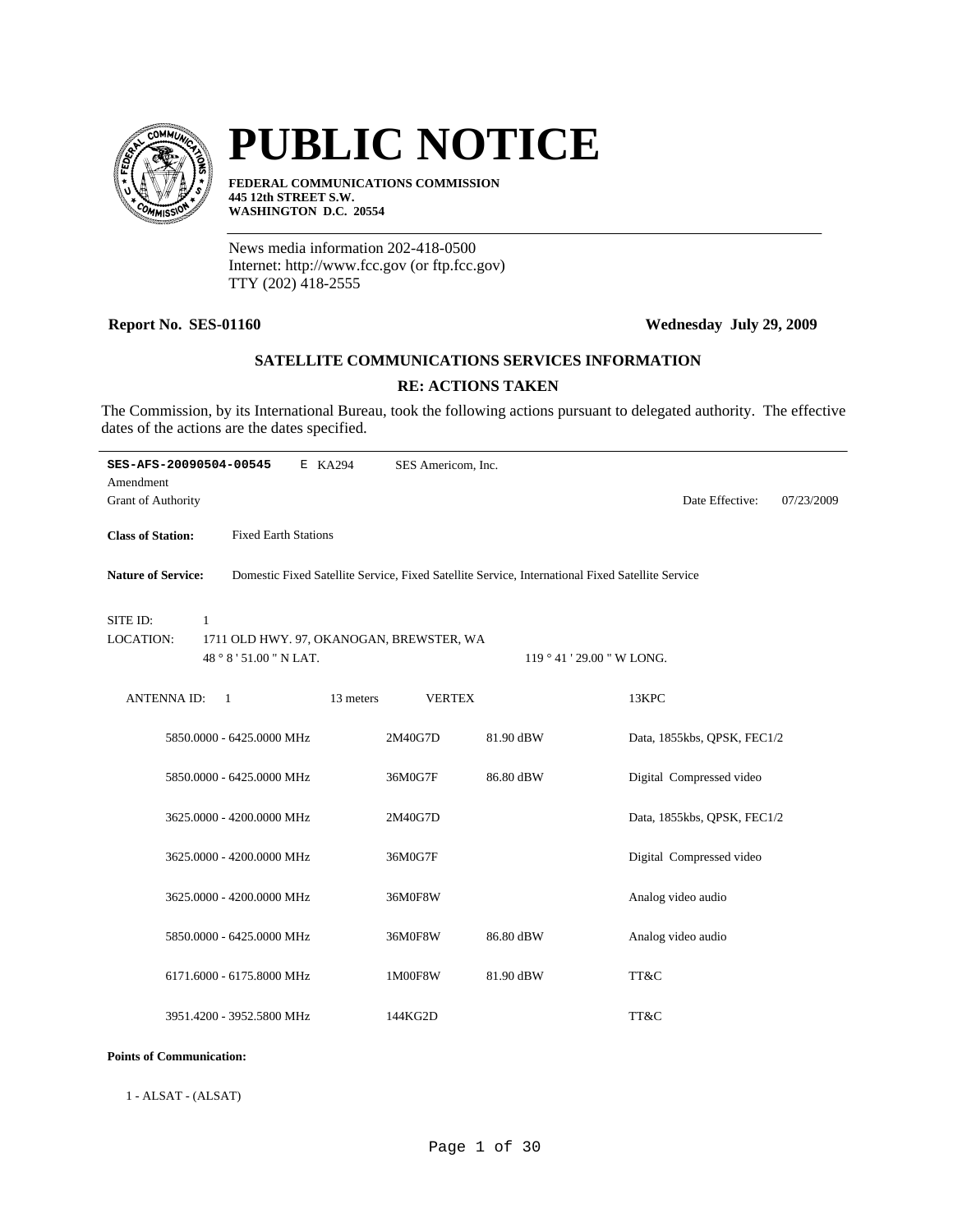

# **PUBLIC NOTICE**

**FEDERAL COMMUNICATIONS COMMISSION 445 12th STREET S.W. WASHINGTON D.C. 20554**

News media information 202-418-0500 Internet: http://www.fcc.gov (or ftp.fcc.gov) TTY (202) 418-2555

# **Report No. SES-01160 Wednesday July 29, 2009**

# **SATELLITE COMMUNICATIONS SERVICES INFORMATION**

# **RE: ACTIONS TAKEN**

The Commission, by its International Bureau, took the following actions pursuant to delegated authority. The effective dates of the actions are the dates specified.

| SES-AFS-20090504-00545<br>E KA294                                                                                             | SES Americom, Inc. |                            |                               |  |  |  |  |
|-------------------------------------------------------------------------------------------------------------------------------|--------------------|----------------------------|-------------------------------|--|--|--|--|
| Amendment                                                                                                                     |                    |                            |                               |  |  |  |  |
| <b>Grant of Authority</b>                                                                                                     |                    |                            | Date Effective:<br>07/23/2009 |  |  |  |  |
| <b>Class of Station:</b><br><b>Fixed Earth Stations</b>                                                                       |                    |                            |                               |  |  |  |  |
| <b>Nature of Service:</b><br>Domestic Fixed Satellite Service, Fixed Satellite Service, International Fixed Satellite Service |                    |                            |                               |  |  |  |  |
| SITE ID:<br>$\mathbf{1}$                                                                                                      |                    |                            |                               |  |  |  |  |
| LOCATION:<br>1711 OLD HWY. 97, OKANOGAN, BREWSTER, WA                                                                         |                    |                            |                               |  |  |  |  |
| 48 ° 8 ' 51.00 " N LAT.                                                                                                       |                    | 119 ° 41 ' 29.00 " W LONG. |                               |  |  |  |  |
| <b>ANTENNAID:</b><br>13 meters<br>$\overline{1}$                                                                              | <b>VERTEX</b>      |                            | 13KPC                         |  |  |  |  |
| 5850.0000 - 6425.0000 MHz                                                                                                     | 2M40G7D            | 81.90 dBW                  | Data, 1855kbs, QPSK, FEC1/2   |  |  |  |  |
| 5850.0000 - 6425.0000 MHz                                                                                                     | 36M0G7F            | 86.80 dBW                  | Digital Compressed video      |  |  |  |  |
| 3625.0000 - 4200.0000 MHz                                                                                                     | 2M40G7D            |                            | Data, 1855kbs, QPSK, FEC1/2   |  |  |  |  |
| 3625.0000 - 4200.0000 MHz                                                                                                     | 36M0G7F            |                            | Digital Compressed video      |  |  |  |  |
| 3625.0000 - 4200.0000 MHz                                                                                                     | 36M0F8W            |                            | Analog video audio            |  |  |  |  |
| 5850.0000 - 6425.0000 MHz                                                                                                     | 36M0F8W            | 86.80 dBW                  | Analog video audio            |  |  |  |  |
| 6171.6000 - 6175.8000 MHz                                                                                                     | 1M00F8W            | 81.90 dBW                  | TT&C                          |  |  |  |  |
| 3951.4200 - 3952.5800 MHz                                                                                                     | 144KG2D            |                            | TT&C                          |  |  |  |  |

#### **Points of Communication:**

1 - ALSAT - (ALSAT)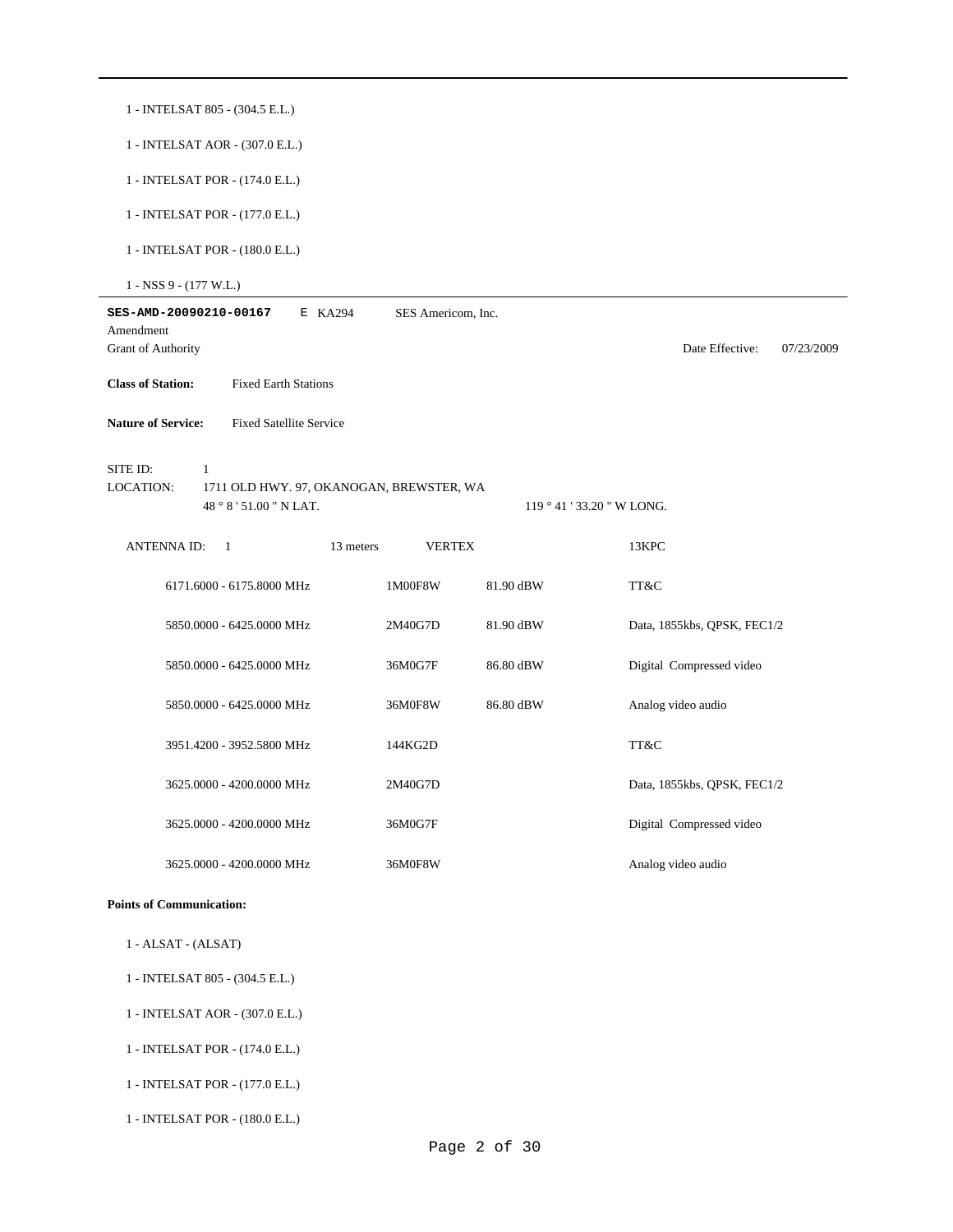| 1 - INTELSAT 805 - (304.5 E.L.)                                                                              |                    |                            |                               |  |  |  |  |  |
|--------------------------------------------------------------------------------------------------------------|--------------------|----------------------------|-------------------------------|--|--|--|--|--|
| 1 - INTELSAT AOR - (307.0 E.L.)                                                                              |                    |                            |                               |  |  |  |  |  |
| 1 - INTELSAT POR - (174.0 E.L.)                                                                              |                    |                            |                               |  |  |  |  |  |
| 1 - INTELSAT POR - (177.0 E.L.)                                                                              |                    |                            |                               |  |  |  |  |  |
| 1 - INTELSAT POR - (180.0 E.L.)                                                                              |                    |                            |                               |  |  |  |  |  |
| $1 - NSS$ 9 - (177 W.L.)                                                                                     |                    |                            |                               |  |  |  |  |  |
| SES-AMD-20090210-00167<br>E KA294<br>Amendment                                                               | SES Americom, Inc. |                            |                               |  |  |  |  |  |
| Grant of Authority                                                                                           |                    |                            | Date Effective:<br>07/23/2009 |  |  |  |  |  |
| <b>Class of Station:</b><br><b>Fixed Earth Stations</b>                                                      |                    |                            |                               |  |  |  |  |  |
| <b>Nature of Service:</b><br><b>Fixed Satellite Service</b>                                                  |                    |                            |                               |  |  |  |  |  |
| SITE ID:<br>$\mathbf{1}$<br>LOCATION:<br>1711 OLD HWY. 97, OKANOGAN, BREWSTER, WA<br>48 ° 8 ' 51.00 " N LAT. |                    | 119 ° 41 ' 33.20 " W LONG. |                               |  |  |  |  |  |
| <b>ANTENNAID:</b><br>13 meters<br>- 1                                                                        | <b>VERTEX</b>      |                            | 13KPC                         |  |  |  |  |  |
| 6171.6000 - 6175.8000 MHz                                                                                    | 1M00F8W            | 81.90 dBW                  | TT&C                          |  |  |  |  |  |
| 5850.0000 - 6425.0000 MHz                                                                                    | 2M40G7D            | 81.90 dBW                  | Data, 1855kbs, QPSK, FEC1/2   |  |  |  |  |  |
| 5850.0000 - 6425.0000 MHz                                                                                    | 36M0G7F            | 86.80 dBW                  | Digital Compressed video      |  |  |  |  |  |
| 5850.0000 - 6425.0000 MHz                                                                                    | 36M0F8W            | 86.80 dBW                  | Analog video audio            |  |  |  |  |  |
| 3951.4200 - 3952.5800 MHz                                                                                    | 144KG2D            |                            | TT&C                          |  |  |  |  |  |
| 3625.0000 - 4200.0000 MHz                                                                                    | 2M40G7D            |                            | Data, 1855kbs, QPSK, FEC1/2   |  |  |  |  |  |
| 3625.0000 - 4200.0000 MHz                                                                                    | 36M0G7F            |                            | Digital Compressed video      |  |  |  |  |  |
| 3625.0000 - 4200.0000 MHz                                                                                    | 36M0F8W            |                            | Analog video audio            |  |  |  |  |  |
| <b>Points of Communication:</b>                                                                              |                    |                            |                               |  |  |  |  |  |

- 1 ALSAT (ALSAT)
- 1 INTELSAT 805 (304.5 E.L.)
- 1 INTELSAT AOR (307.0 E.L.)
- 1 INTELSAT POR (174.0 E.L.)
- 1 INTELSAT POR (177.0 E.L.)
- 1 INTELSAT POR (180.0 E.L.)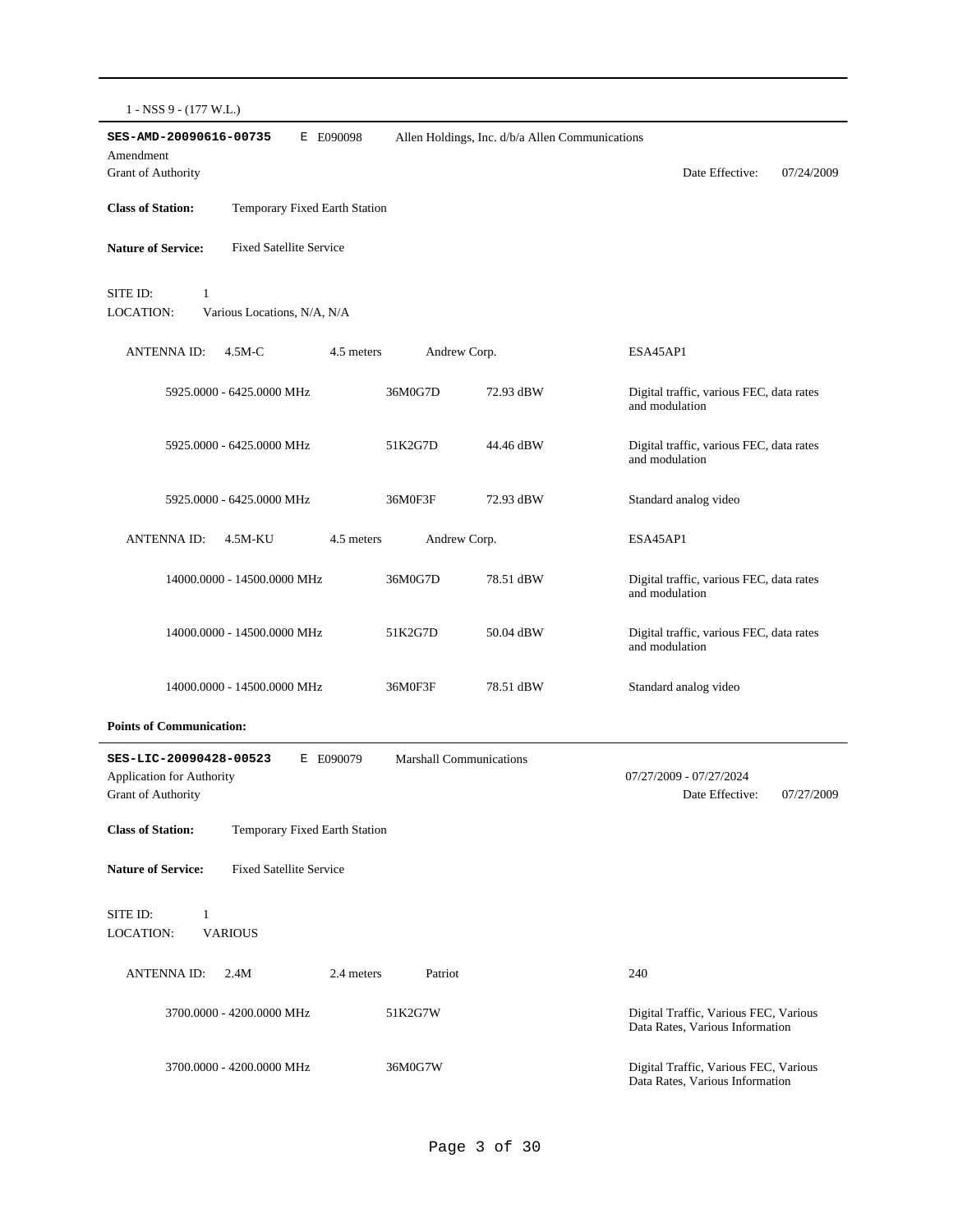|  | 1 - NSS 9 - (177 W.L.) |
|--|------------------------|
|--|------------------------|

| $1 - 13.337 - (111.89)$                                                                |                                |                                                 |                                                                          |
|----------------------------------------------------------------------------------------|--------------------------------|-------------------------------------------------|--------------------------------------------------------------------------|
| SES-AMD-20090616-00735<br>E E090098<br>Amendment<br>Grant of Authority                 |                                | Allen Holdings, Inc. d/b/a Allen Communications | Date Effective:<br>07/24/2009                                            |
| <b>Class of Station:</b><br>Temporary Fixed Earth Station                              |                                |                                                 |                                                                          |
| <b>Nature of Service:</b><br><b>Fixed Satellite Service</b>                            |                                |                                                 |                                                                          |
| SITE ID:<br>$\mathbf{1}$<br><b>LOCATION:</b><br>Various Locations, N/A, N/A            |                                |                                                 |                                                                          |
| ANTENNA ID:<br>$4.5M-C$<br>4.5 meters                                                  | Andrew Corp.                   |                                                 | ESA45AP1                                                                 |
| 5925.0000 - 6425.0000 MHz                                                              | 36M0G7D                        | 72.93 dBW                                       | Digital traffic, various FEC, data rates<br>and modulation               |
| 5925.0000 - 6425.0000 MHz                                                              | 51K2G7D                        | 44.46 dBW                                       | Digital traffic, various FEC, data rates<br>and modulation               |
| 5925,0000 - 6425,0000 MHz                                                              | 36M0F3F                        | 72.93 dBW                                       | Standard analog video                                                    |
| <b>ANTENNA ID:</b><br>4.5M-KU<br>4.5 meters                                            | Andrew Corp.                   |                                                 | ESA45AP1                                                                 |
| 14000.0000 - 14500.0000 MHz                                                            | 36M0G7D                        | 78.51 dBW                                       | Digital traffic, various FEC, data rates<br>and modulation               |
| 14000.0000 - 14500.0000 MHz                                                            | 51K2G7D                        | 50.04 dBW                                       | Digital traffic, various FEC, data rates<br>and modulation               |
| 14000.0000 - 14500.0000 MHz                                                            | 36M0F3F                        | 78.51 dBW                                       | Standard analog video                                                    |
| <b>Points of Communication:</b>                                                        |                                |                                                 |                                                                          |
| SES-LIC-20090428-00523<br>E E090079<br>Application for Authority<br>Grant of Authority | <b>Marshall Communications</b> |                                                 | 07/27/2009 - 07/27/2024<br>Date Effective:<br>07/27/2009                 |
| Temporary Fixed Earth Station<br><b>Class of Station:</b>                              |                                |                                                 |                                                                          |
| <b>Fixed Satellite Service</b><br><b>Nature of Service:</b>                            |                                |                                                 |                                                                          |
| SITE ID:<br>$\mathbf{1}$<br>LOCATION:<br><b>VARIOUS</b>                                |                                |                                                 |                                                                          |
| <b>ANTENNA ID:</b><br>2.4 meters<br>2.4M                                               | Patriot                        |                                                 | 240                                                                      |
| 3700.0000 - 4200.0000 MHz                                                              | 51K2G7W                        |                                                 | Digital Traffic, Various FEC, Various<br>Data Rates, Various Information |
| 3700.0000 - 4200.0000 MHz                                                              | 36M0G7W                        |                                                 | Digital Traffic, Various FEC, Various<br>Data Rates, Various Information |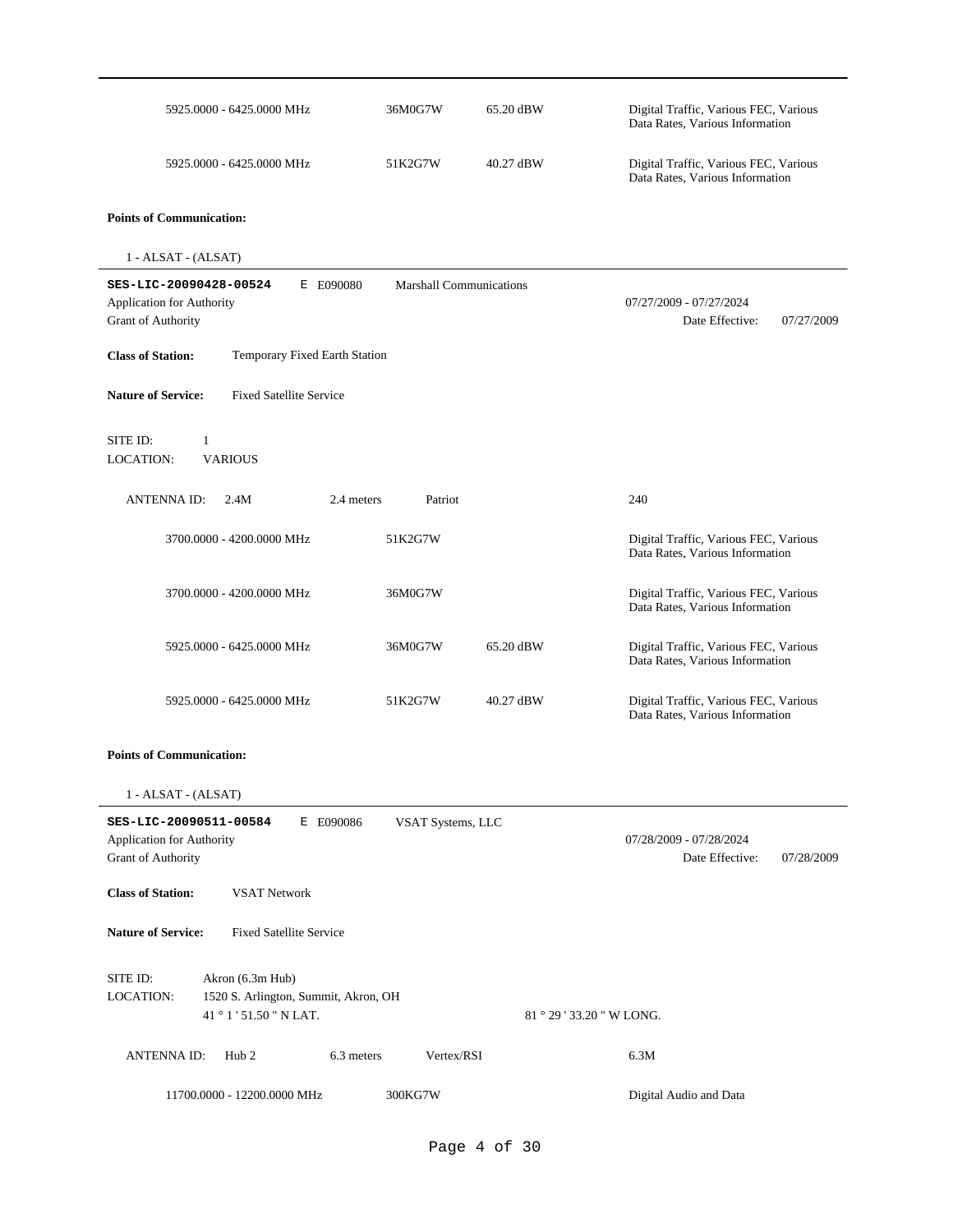| 5925.0000 - 6425.0000 MHz                                                                                    | 36M0G7W                        | 65.20 dBW                 | Digital Traffic, Various FEC, Various<br>Data Rates, Various Information |  |  |  |
|--------------------------------------------------------------------------------------------------------------|--------------------------------|---------------------------|--------------------------------------------------------------------------|--|--|--|
| 5925.0000 - 6425.0000 MHz                                                                                    | 51K2G7W                        | 40.27 dBW                 | Digital Traffic, Various FEC, Various<br>Data Rates, Various Information |  |  |  |
| <b>Points of Communication:</b>                                                                              |                                |                           |                                                                          |  |  |  |
| $1 - ALSAT - (ALSAT)$                                                                                        |                                |                           |                                                                          |  |  |  |
| SES-LIC-20090428-00524<br>E E090080<br><b>Application for Authority</b><br>Grant of Authority                | <b>Marshall Communications</b> |                           | 07/27/2009 - 07/27/2024<br>Date Effective:<br>07/27/2009                 |  |  |  |
| <b>Class of Station:</b><br>Temporary Fixed Earth Station                                                    |                                |                           |                                                                          |  |  |  |
| <b>Nature of Service:</b><br><b>Fixed Satellite Service</b>                                                  |                                |                           |                                                                          |  |  |  |
| SITE ID:<br>$\mathbf{1}$<br>LOCATION:<br><b>VARIOUS</b>                                                      |                                |                           |                                                                          |  |  |  |
| 2.4 meters<br><b>ANTENNA ID:</b><br>2.4M                                                                     | Patriot                        |                           | 240                                                                      |  |  |  |
| 3700.0000 - 4200.0000 MHz                                                                                    | 51K2G7W                        |                           | Digital Traffic, Various FEC, Various<br>Data Rates, Various Information |  |  |  |
| 3700.0000 - 4200.0000 MHz                                                                                    | 36M0G7W                        |                           | Digital Traffic, Various FEC, Various<br>Data Rates, Various Information |  |  |  |
| 5925.0000 - 6425.0000 MHz                                                                                    | 36M0G7W                        | 65.20 dBW                 | Digital Traffic, Various FEC, Various<br>Data Rates, Various Information |  |  |  |
| 5925.0000 - 6425.0000 MHz                                                                                    | 51K2G7W                        | 40.27 dBW                 | Digital Traffic, Various FEC, Various<br>Data Rates, Various Information |  |  |  |
| <b>Points of Communication:</b>                                                                              |                                |                           |                                                                          |  |  |  |
| 1 - ALSAT - (ALSAT)                                                                                          |                                |                           |                                                                          |  |  |  |
| SES-LIC-20090511-00584<br>E E090086<br>Application for Authority<br>Grant of Authority                       | VSAT Systems, LLC              |                           | 07/28/2009 - 07/28/2024<br>Date Effective:<br>07/28/2009                 |  |  |  |
| <b>Class of Station:</b><br><b>VSAT Network</b>                                                              |                                |                           |                                                                          |  |  |  |
| <b>Nature of Service:</b><br><b>Fixed Satellite Service</b>                                                  |                                |                           |                                                                          |  |  |  |
| SITE ID:<br>Akron (6.3m Hub)<br>LOCATION:<br>1520 S. Arlington, Summit, Akron, OH<br>41 ° 1 ' 51.50 " N LAT. |                                | 81 ° 29 ' 33.20 " W LONG. |                                                                          |  |  |  |
| 6.3 meters<br><b>ANTENNAID:</b><br>Hub <sub>2</sub>                                                          | Vertex/RSI                     |                           | 6.3M                                                                     |  |  |  |
| 11700.0000 - 12200.0000 MHz                                                                                  | 300KG7W                        |                           | Digital Audio and Data                                                   |  |  |  |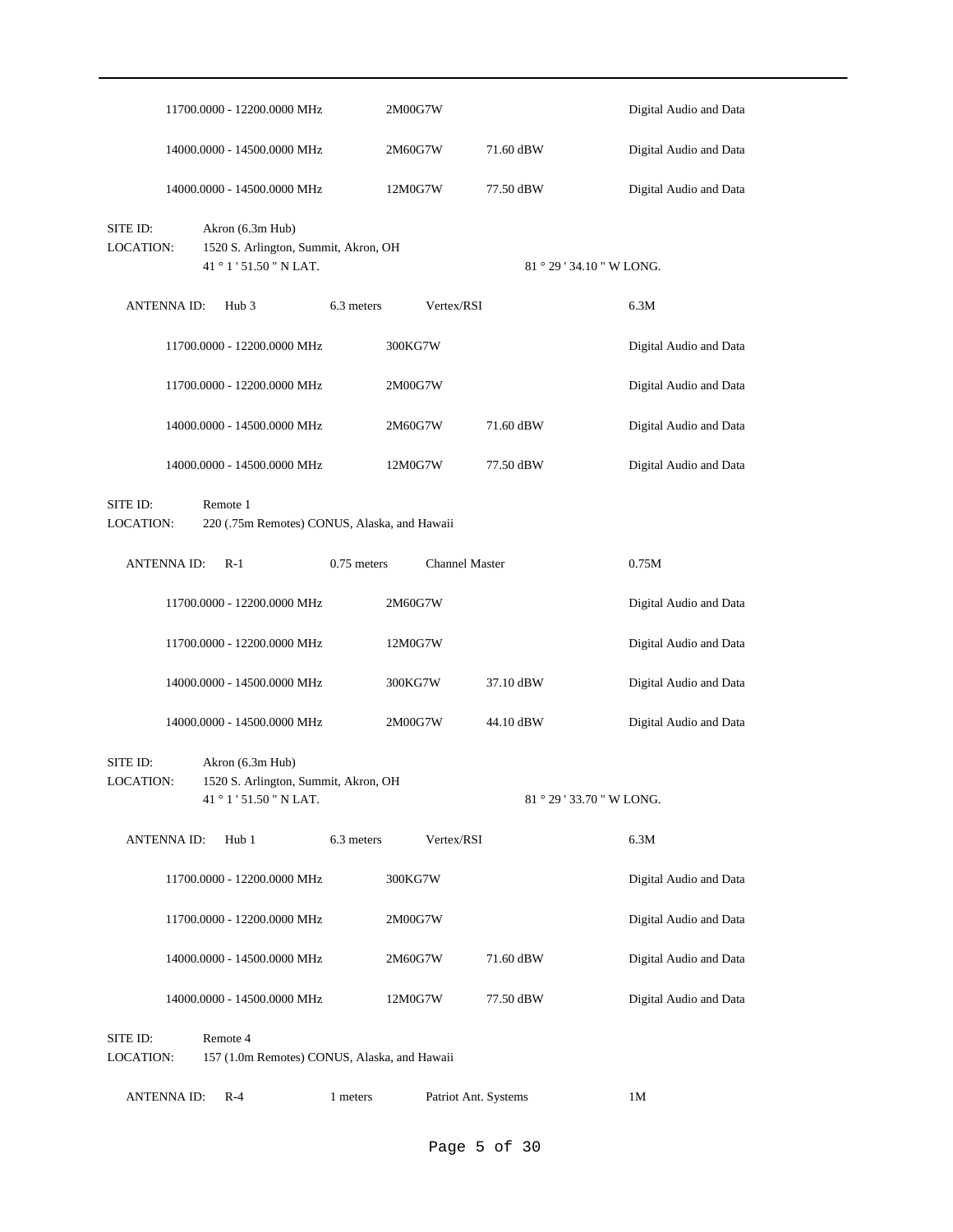|                              |                    | 11700.0000 - 12200.0000 MHz                                                         |               | 2M00G7W               |                           | Digital Audio and Data |
|------------------------------|--------------------|-------------------------------------------------------------------------------------|---------------|-----------------------|---------------------------|------------------------|
|                              |                    | 14000.0000 - 14500.0000 MHz                                                         |               | 2M60G7W               | 71.60 dBW                 | Digital Audio and Data |
|                              |                    | 14000.0000 - 14500.0000 MHz                                                         |               | 12M0G7W               | 77.50 dBW                 | Digital Audio and Data |
| SITE ID:<br>LOCATION:        |                    | Akron (6.3m Hub)<br>1520 S. Arlington, Summit, Akron, OH<br>41°1'51.50" NLAT.       |               |                       | 81 ° 29 ' 34.10 " W LONG. |                        |
|                              | <b>ANTENNA ID:</b> | Hub 3                                                                               | 6.3 meters    | Vertex/RSI            |                           | 6.3M                   |
|                              |                    | 11700.0000 - 12200.0000 MHz                                                         |               | 300KG7W               |                           | Digital Audio and Data |
|                              |                    | 11700.0000 - 12200.0000 MHz                                                         |               | 2M00G7W               |                           | Digital Audio and Data |
|                              |                    | 14000.0000 - 14500.0000 MHz                                                         |               | 2M60G7W               | 71.60 dBW                 | Digital Audio and Data |
|                              |                    | 14000.0000 - 14500.0000 MHz                                                         |               | 12M0G7W               | 77.50 dBW                 | Digital Audio and Data |
| SITE ID:<br><b>LOCATION:</b> |                    | Remote 1<br>220 (.75m Remotes) CONUS, Alaska, and Hawaii                            |               |                       |                           |                        |
|                              | ANTENNA ID:        | $R-1$                                                                               | $0.75$ meters | <b>Channel Master</b> |                           | 0.75M                  |
|                              |                    | 11700.0000 - 12200.0000 MHz                                                         |               | 2M60G7W               |                           | Digital Audio and Data |
|                              |                    | 11700.0000 - 12200.0000 MHz                                                         |               | 12M0G7W               |                           | Digital Audio and Data |
|                              |                    | 14000.0000 - 14500.0000 MHz                                                         |               | 300KG7W               | 37.10 dBW                 | Digital Audio and Data |
|                              |                    | 14000.0000 - 14500.0000 MHz                                                         |               | 2M00G7W               | 44.10 dBW                 | Digital Audio and Data |
| SITE ID:<br>LOCATION:        |                    | Akron (6.3m Hub)<br>1520 S. Arlington, Summit, Akron, OH<br>41 ° 1 ' 51.50 " N LAT. |               |                       | 81 ° 29 ' 33.70 " W LONG. |                        |
|                              | ANTENNA ID:        | Hub 1                                                                               | 6.3 meters    | Vertex/RSI            |                           | 6.3M                   |
|                              |                    | 11700.0000 - 12200.0000 MHz                                                         |               | 300KG7W               |                           | Digital Audio and Data |
|                              |                    | 11700.0000 - 12200.0000 MHz                                                         |               | 2M00G7W               |                           | Digital Audio and Data |
|                              |                    | 14000.0000 - 14500.0000 MHz                                                         |               | 2M60G7W               | 71.60 dBW                 | Digital Audio and Data |
|                              |                    | 14000.0000 - 14500.0000 MHz                                                         |               | 12M0G7W               | 77.50 dBW                 | Digital Audio and Data |
| SITE ID:<br>LOCATION:        |                    | Remote 4<br>157 (1.0m Remotes) CONUS, Alaska, and Hawaii                            |               |                       |                           |                        |
|                              | <b>ANTENNAID:</b>  | R-4                                                                                 | 1 meters      | Patriot Ant. Systems  |                           | 1M                     |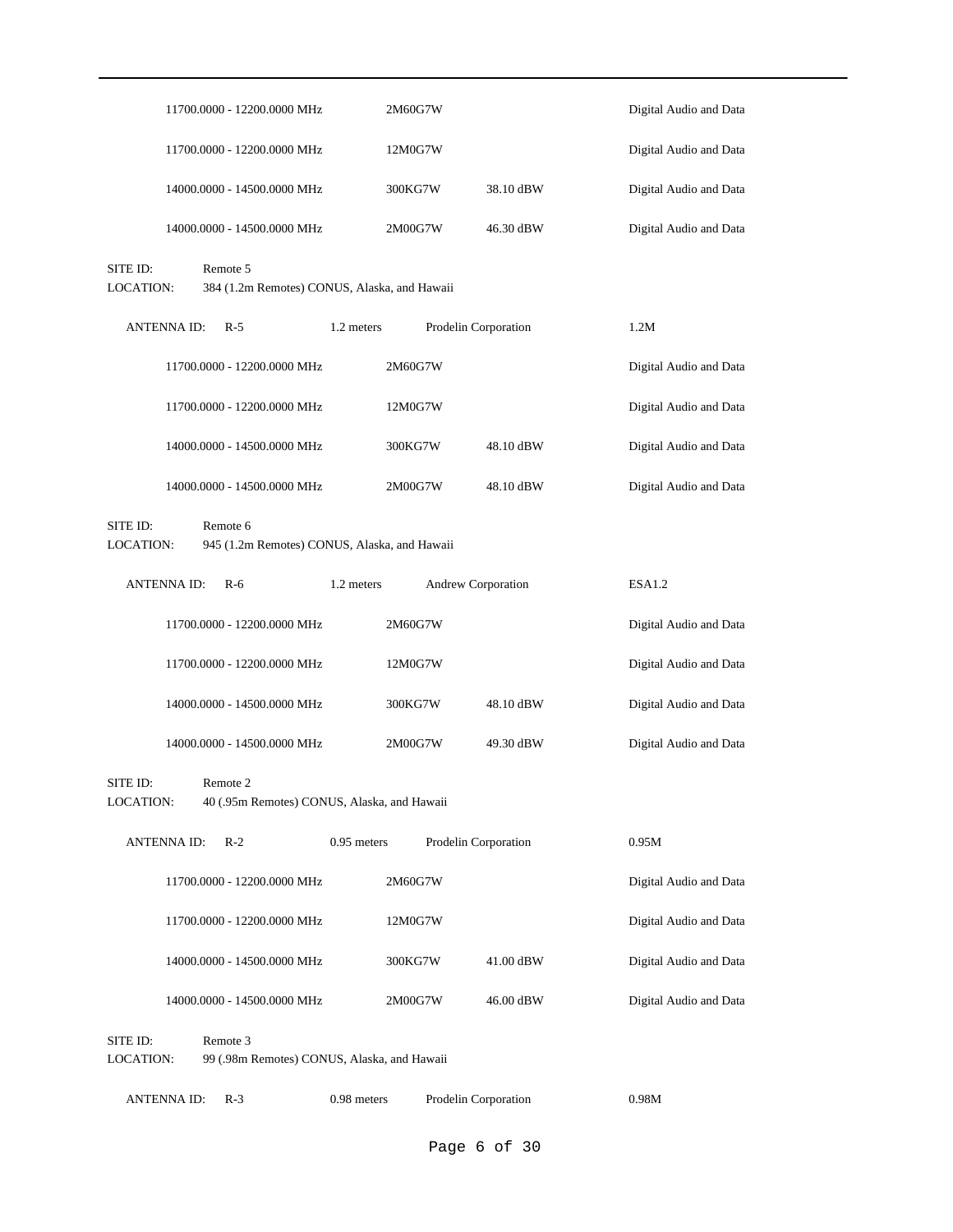|                              |                    | 11700.0000 - 12200.0000 MHz                              |             | 2M60G7W |                      |           | Digital Audio and Data |
|------------------------------|--------------------|----------------------------------------------------------|-------------|---------|----------------------|-----------|------------------------|
|                              |                    | 11700.0000 - 12200.0000 MHz                              |             | 12M0G7W |                      |           | Digital Audio and Data |
|                              |                    | 14000.0000 - 14500.0000 MHz                              |             | 300KG7W |                      | 38.10 dBW | Digital Audio and Data |
|                              |                    | 14000.0000 - 14500.0000 MHz                              |             | 2M00G7W |                      | 46.30 dBW | Digital Audio and Data |
| SITE ID:<br><b>LOCATION:</b> |                    | Remote 5<br>384 (1.2m Remotes) CONUS, Alaska, and Hawaii |             |         |                      |           |                        |
|                              | <b>ANTENNA ID:</b> | $R-5$                                                    | 1.2 meters  |         | Prodelin Corporation |           | 1.2M                   |
|                              |                    | 11700.0000 - 12200.0000 MHz                              |             | 2M60G7W |                      |           | Digital Audio and Data |
|                              |                    | 11700.0000 - 12200.0000 MHz                              |             | 12M0G7W |                      |           | Digital Audio and Data |
|                              |                    | 14000.0000 - 14500.0000 MHz                              |             | 300KG7W |                      | 48.10 dBW | Digital Audio and Data |
|                              |                    | 14000.0000 - 14500.0000 MHz                              |             | 2M00G7W |                      | 48.10 dBW | Digital Audio and Data |
| SITE ID:<br><b>LOCATION:</b> |                    | Remote 6<br>945 (1.2m Remotes) CONUS, Alaska, and Hawaii |             |         |                      |           |                        |
|                              | <b>ANTENNA ID:</b> | $R-6$                                                    | 1.2 meters  |         | Andrew Corporation   |           | ESA <sub>1.2</sub>     |
|                              |                    | 11700.0000 - 12200.0000 MHz                              |             | 2M60G7W |                      |           | Digital Audio and Data |
|                              |                    | 11700.0000 - 12200.0000 MHz                              |             | 12M0G7W |                      |           | Digital Audio and Data |
|                              |                    | 14000.0000 - 14500.0000 MHz                              |             | 300KG7W |                      | 48.10 dBW | Digital Audio and Data |
|                              |                    | 14000.0000 - 14500.0000 MHz                              |             | 2M00G7W |                      | 49.30 dBW | Digital Audio and Data |
| SITE ID:<br>LOCATION:        |                    | Remote 2<br>40 (.95m Remotes) CONUS, Alaska, and Hawaii  |             |         |                      |           |                        |
|                              | <b>ANTENNA ID:</b> | $R-2$                                                    | 0.95 meters |         | Prodelin Corporation |           | 0.95M                  |
|                              |                    | 11700.0000 - 12200.0000 MHz                              |             | 2M60G7W |                      |           | Digital Audio and Data |
|                              |                    | 11700.0000 - 12200.0000 MHz                              |             | 12M0G7W |                      |           | Digital Audio and Data |
|                              |                    | 14000.0000 - 14500.0000 MHz                              |             | 300KG7W |                      | 41.00 dBW | Digital Audio and Data |
|                              |                    | 14000.0000 - 14500.0000 MHz                              |             | 2M00G7W |                      | 46.00 dBW | Digital Audio and Data |
| SITE ID:<br>LOCATION:        |                    | Remote 3<br>99 (.98m Remotes) CONUS, Alaska, and Hawaii  |             |         |                      |           |                        |
|                              | <b>ANTENNAID:</b>  | $R-3$                                                    | 0.98 meters |         | Prodelin Corporation |           | 0.98M                  |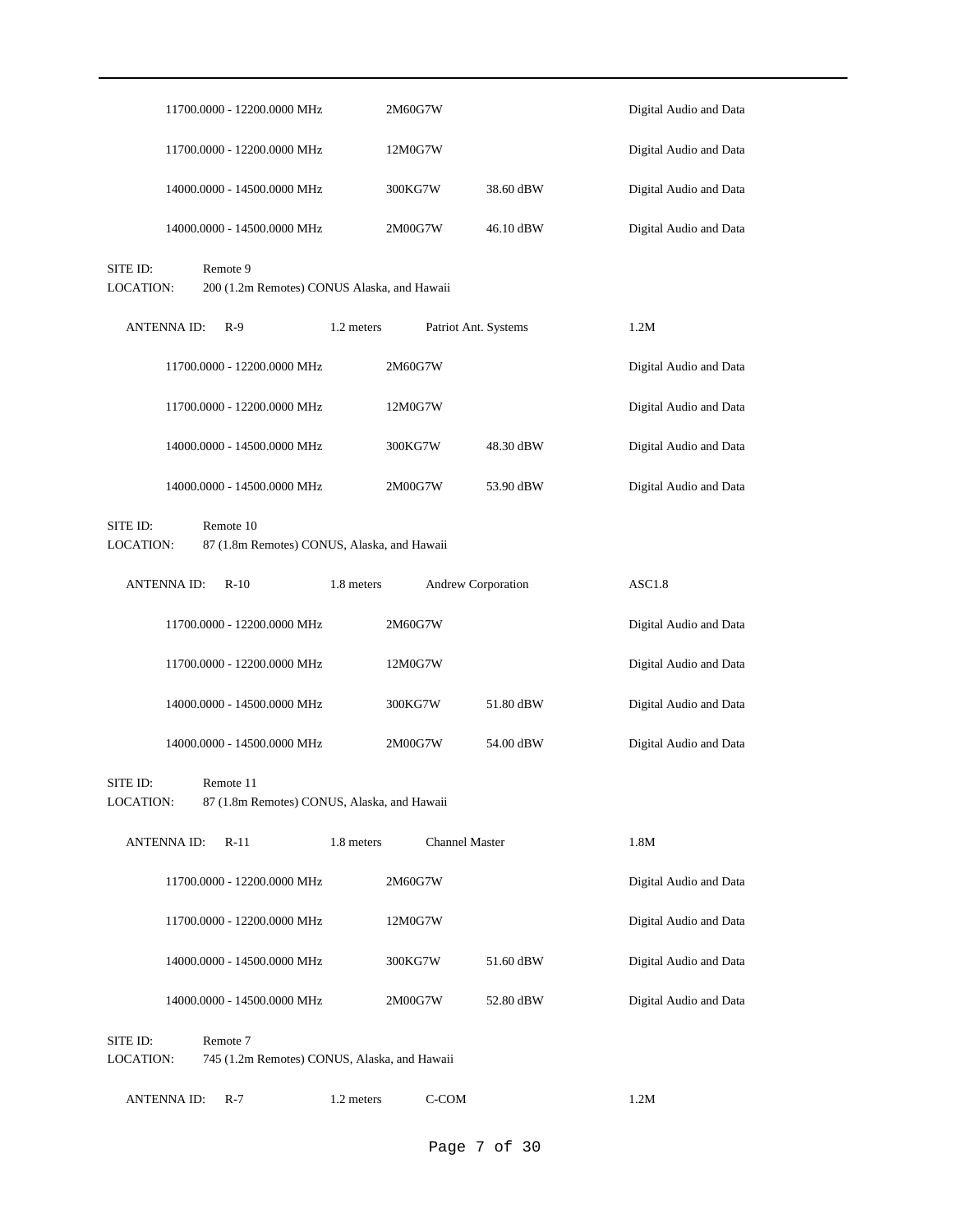|                              | 11700.0000 - 12200.0000 MHz                              |            | 2M60G7W               |           | Digital Audio and Data |
|------------------------------|----------------------------------------------------------|------------|-----------------------|-----------|------------------------|
|                              | 11700.0000 - 12200.0000 MHz                              |            | 12M0G7W               |           | Digital Audio and Data |
|                              | 14000.0000 - 14500.0000 MHz                              |            | 300KG7W               | 38.60 dBW | Digital Audio and Data |
|                              | 14000.0000 - 14500.0000 MHz                              |            | 2M00G7W               | 46.10 dBW | Digital Audio and Data |
| SITE ID:<br><b>LOCATION:</b> | Remote 9<br>200 (1.2m Remotes) CONUS Alaska, and Hawaii  |            |                       |           |                        |
| <b>ANTENNA ID:</b>           | $R-9$                                                    | 1.2 meters | Patriot Ant. Systems  |           | 1.2M                   |
|                              | 11700.0000 - 12200.0000 MHz                              |            | 2M60G7W               |           | Digital Audio and Data |
|                              | 11700.0000 - 12200.0000 MHz                              |            | 12M0G7W               |           | Digital Audio and Data |
|                              | 14000.0000 - 14500.0000 MHz                              |            | 300KG7W               | 48.30 dBW | Digital Audio and Data |
|                              | 14000.0000 - 14500.0000 MHz                              |            | 2M00G7W               | 53.90 dBW | Digital Audio and Data |
| SITE ID:<br>LOCATION:        | Remote 10<br>87 (1.8m Remotes) CONUS, Alaska, and Hawaii |            |                       |           |                        |
| ANTENNA ID:                  | $R-10$                                                   | 1.8 meters | Andrew Corporation    |           | ASC1.8                 |
|                              | 11700.0000 - 12200.0000 MHz                              |            | 2M60G7W               |           | Digital Audio and Data |
|                              | 11700.0000 - 12200.0000 MHz                              |            | 12M0G7W               |           | Digital Audio and Data |
|                              | 14000.0000 - 14500.0000 MHz                              |            | 300KG7W               | 51.80 dBW | Digital Audio and Data |
|                              | 14000.0000 - 14500.0000 MHz                              |            | 2M00G7W               | 54.00 dBW | Digital Audio and Data |
| SITE ID:<br>LOCATION:        | Remote 11<br>87 (1.8m Remotes) CONUS, Alaska, and Hawaii |            |                       |           |                        |
| <b>ANTENNA ID:</b>           | $R-11$                                                   | 1.8 meters | <b>Channel Master</b> |           | 1.8M                   |
|                              | 11700.0000 - 12200.0000 MHz                              |            | 2M60G7W               |           | Digital Audio and Data |
|                              | 11700.0000 - 12200.0000 MHz                              |            | 12M0G7W               |           | Digital Audio and Data |
|                              | 14000.0000 - 14500.0000 MHz                              |            | 300KG7W               | 51.60 dBW | Digital Audio and Data |
|                              | 14000.0000 - 14500.0000 MHz                              |            | 2M00G7W               | 52.80 dBW | Digital Audio and Data |
| SITE ID:<br>LOCATION:        | Remote 7<br>745 (1.2m Remotes) CONUS, Alaska, and Hawaii |            |                       |           |                        |
| <b>ANTENNAID:</b>            | $R-7$                                                    | 1.2 meters | C-COM                 |           | 1.2M                   |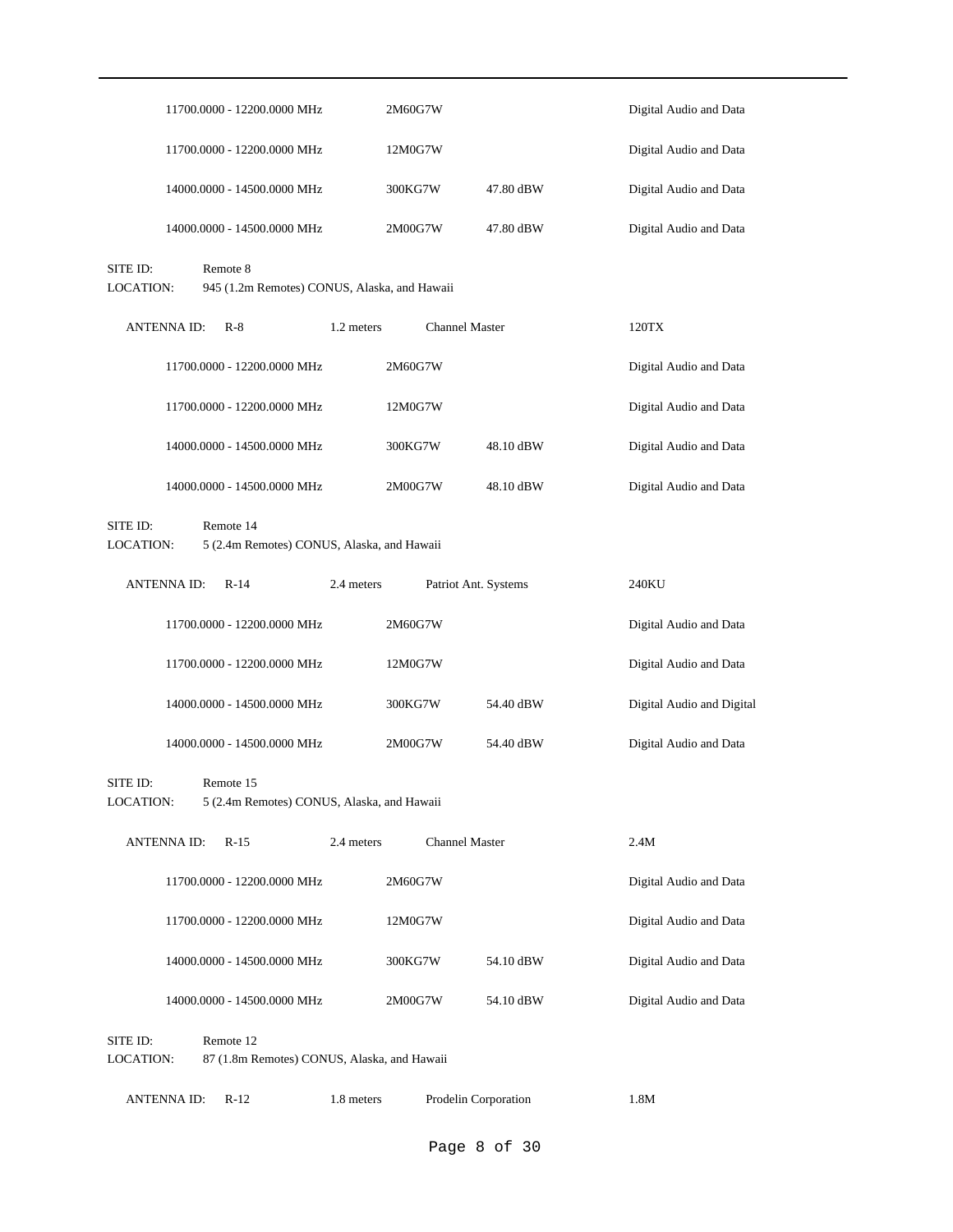|                                                                                  |                    | 11700.0000 - 12200.0000 MHz                              |            | 2M60G7W               |           | Digital Audio and Data    |
|----------------------------------------------------------------------------------|--------------------|----------------------------------------------------------|------------|-----------------------|-----------|---------------------------|
|                                                                                  |                    | 11700.0000 - 12200.0000 MHz                              |            | 12M0G7W               |           | Digital Audio and Data    |
|                                                                                  |                    | 14000.0000 - 14500.0000 MHz                              |            | 300KG7W               | 47.80 dBW | Digital Audio and Data    |
|                                                                                  |                    | 14000.0000 - 14500.0000 MHz                              |            | 2M00G7W               | 47.80 dBW | Digital Audio and Data    |
| SITE ID:<br><b>LOCATION:</b>                                                     |                    | Remote 8<br>945 (1.2m Remotes) CONUS, Alaska, and Hawaii |            |                       |           |                           |
|                                                                                  | <b>ANTENNA ID:</b> | $R-8$                                                    | 1.2 meters | <b>Channel Master</b> |           | 120TX                     |
|                                                                                  |                    | 11700.0000 - 12200.0000 MHz                              |            | 2M60G7W               |           | Digital Audio and Data    |
|                                                                                  |                    | 11700.0000 - 12200.0000 MHz                              |            | 12M0G7W               |           | Digital Audio and Data    |
|                                                                                  |                    | 14000.0000 - 14500.0000 MHz                              |            | 300KG7W               | 48.10 dBW | Digital Audio and Data    |
|                                                                                  |                    | 14000.0000 - 14500.0000 MHz                              |            | 2M00G7W               | 48.10 dBW | Digital Audio and Data    |
| SITE ID:<br>Remote 14<br>LOCATION:<br>5 (2.4m Remotes) CONUS, Alaska, and Hawaii |                    |                                                          |            |                       |           |                           |
|                                                                                  | <b>ANTENNA ID:</b> | $R-14$                                                   | 2.4 meters | Patriot Ant. Systems  |           | 240KU                     |
|                                                                                  |                    | 11700.0000 - 12200.0000 MHz                              |            | 2M60G7W               |           | Digital Audio and Data    |
|                                                                                  |                    | 11700.0000 - 12200.0000 MHz                              |            | 12M0G7W               |           | Digital Audio and Data    |
|                                                                                  |                    | 14000.0000 - 14500.0000 MHz                              |            | 300KG7W               | 54.40 dBW | Digital Audio and Digital |
|                                                                                  |                    | 14000.0000 - 14500.0000 MHz                              |            | 2M00G7W               | 54.40 dBW | Digital Audio and Data    |
| SITE ID:<br><b>LOCATION:</b>                                                     |                    | Remote 15<br>5 (2.4m Remotes) CONUS, Alaska, and Hawaii  |            |                       |           |                           |
|                                                                                  | <b>ANTENNA ID:</b> | $R-15$                                                   | 2.4 meters | <b>Channel Master</b> |           | 2.4M                      |
|                                                                                  |                    | 11700.0000 - 12200.0000 MHz                              |            | 2M60G7W               |           | Digital Audio and Data    |
|                                                                                  |                    | 11700.0000 - 12200.0000 MHz                              |            | 12M0G7W               |           | Digital Audio and Data    |
|                                                                                  |                    | 14000.0000 - 14500.0000 MHz                              |            | 300KG7W               | 54.10 dBW | Digital Audio and Data    |
|                                                                                  |                    | 14000.0000 - 14500.0000 MHz                              |            | 2M00G7W               | 54.10 dBW | Digital Audio and Data    |
| SITE ID:<br>LOCATION:                                                            |                    | Remote 12<br>87 (1.8m Remotes) CONUS, Alaska, and Hawaii |            |                       |           |                           |
|                                                                                  | <b>ANTENNAID:</b>  | $R-12$                                                   | 1.8 meters | Prodelin Corporation  |           | 1.8M                      |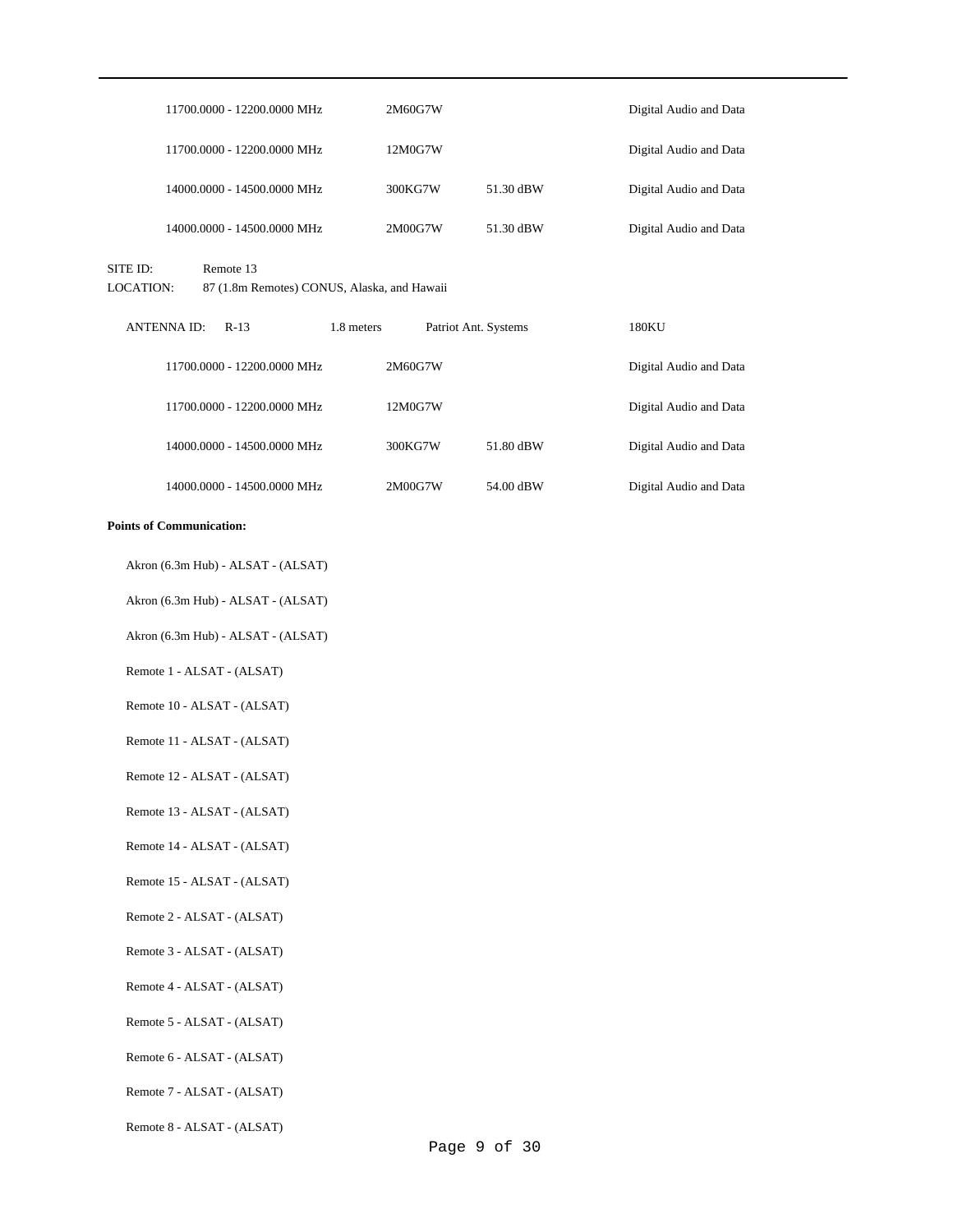| 11700.0000 - 12200.0000 MHz                                                              | 2M60G7W                            |           | Digital Audio and Data |
|------------------------------------------------------------------------------------------|------------------------------------|-----------|------------------------|
| 11700.0000 - 12200.0000 MHz                                                              | 12M0G7W                            |           | Digital Audio and Data |
| 14000.0000 - 14500.0000 MHz                                                              | 300KG7W                            | 51.30 dBW | Digital Audio and Data |
| 14000.0000 - 14500.0000 MHz                                                              | 2M00G7W                            | 51.30 dBW | Digital Audio and Data |
| Remote 13<br>SITE ID:<br><b>LOCATION:</b><br>87 (1.8m Remotes) CONUS, Alaska, and Hawaii |                                    |           |                        |
| <b>ANTENNA ID:</b><br>$R-13$                                                             | 1.8 meters<br>Patriot Ant. Systems |           | 180KU                  |
| 11700.0000 - 12200.0000 MHz                                                              | 2M60G7W                            |           | Digital Audio and Data |
| 11700.0000 - 12200.0000 MHz                                                              | 12M0G7W                            |           | Digital Audio and Data |
| 14000.0000 - 14500.0000 MHz                                                              | 300KG7W                            | 51.80 dBW | Digital Audio and Data |
| 14000.0000 - 14500.0000 MHz                                                              | 2M00G7W                            | 54.00 dBW | Digital Audio and Data |
| <b>Points of Communication:</b>                                                          |                                    |           |                        |
| Akron (6.3m Hub) - ALSAT - (ALSAT)                                                       |                                    |           |                        |
| Akron (6.3m Hub) - ALSAT - (ALSAT)                                                       |                                    |           |                        |
| Akron (6.3m Hub) - ALSAT - (ALSAT)                                                       |                                    |           |                        |
| Remote 1 - ALSAT - (ALSAT)                                                               |                                    |           |                        |
| Remote 10 - ALSAT - (ALSAT)                                                              |                                    |           |                        |
| Remote 11 - ALSAT - (ALSAT)                                                              |                                    |           |                        |
| Remote 12 - ALSAT - (ALSAT)                                                              |                                    |           |                        |

- Remote 13 ALSAT (ALSAT)
- Remote 14 ALSAT (ALSAT)
- Remote 15 ALSAT (ALSAT)
- Remote 2 ALSAT (ALSAT)
- Remote 3 ALSAT (ALSAT)
- Remote 4 ALSAT (ALSAT)
- Remote 5 ALSAT (ALSAT)
- Remote 6 ALSAT (ALSAT)
- Remote 7 ALSAT (ALSAT)
- Remote 8 ALSAT (ALSAT)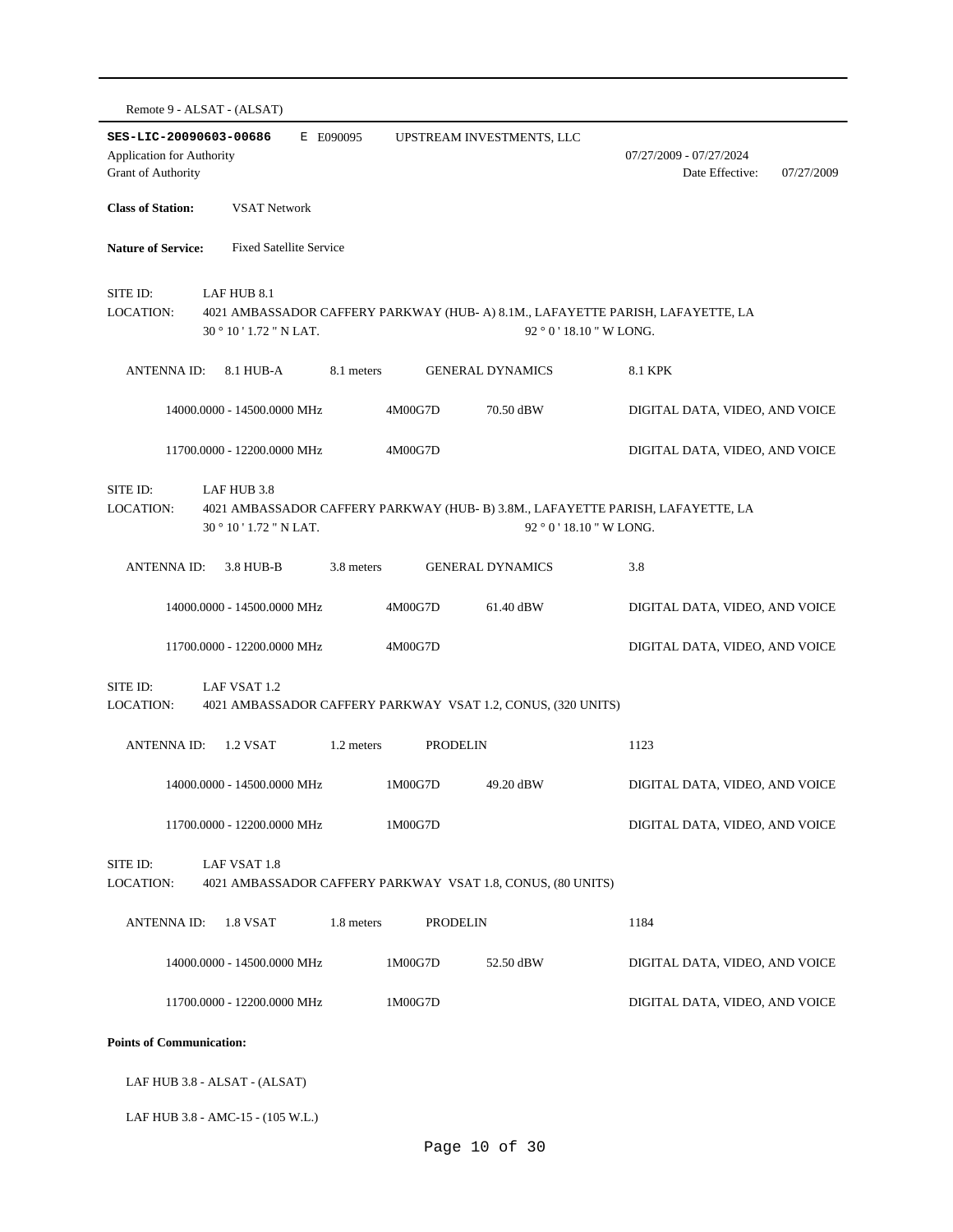|                                                                                                                                                                                | Remote 9 - ALSAT - (ALSAT)    |            |                 |                                                              |                                                          |  |  |  |  |
|--------------------------------------------------------------------------------------------------------------------------------------------------------------------------------|-------------------------------|------------|-----------------|--------------------------------------------------------------|----------------------------------------------------------|--|--|--|--|
| SES-LIC-20090603-00686<br><b>Application for Authority</b><br><b>Grant of Authority</b>                                                                                        |                               | E E090095  |                 | UPSTREAM INVESTMENTS, LLC                                    | 07/27/2009 - 07/27/2024<br>Date Effective:<br>07/27/2009 |  |  |  |  |
| <b>Class of Station:</b>                                                                                                                                                       | <b>VSAT Network</b>           |            |                 |                                                              |                                                          |  |  |  |  |
| <b>Nature of Service:</b><br><b>Fixed Satellite Service</b>                                                                                                                    |                               |            |                 |                                                              |                                                          |  |  |  |  |
| SITE ID:<br>LAF HUB 8.1<br>LOCATION:<br>4021 AMBASSADOR CAFFERY PARKWAY (HUB- A) 8.1M., LAFAYETTE PARISH, LAFAYETTE, LA<br>30 ° 10 ' 1.72 " N LAT.<br>$92°0'18.10''$ W LONG.   |                               |            |                 |                                                              |                                                          |  |  |  |  |
| <b>ANTENNA ID:</b>                                                                                                                                                             | 8.1 HUB-A                     | 8.1 meters |                 | <b>GENERAL DYNAMICS</b>                                      | 8.1 KPK                                                  |  |  |  |  |
|                                                                                                                                                                                | 14000.0000 - 14500.0000 MHz   |            | 4M00G7D         | 70.50 dBW                                                    | DIGITAL DATA, VIDEO, AND VOICE                           |  |  |  |  |
|                                                                                                                                                                                | 11700.0000 - 12200.0000 MHz   |            | 4M00G7D         |                                                              | DIGITAL DATA, VIDEO, AND VOICE                           |  |  |  |  |
| SITE ID:<br>LAF HUB 3.8<br>LOCATION:<br>4021 AMBASSADOR CAFFERY PARKWAY (HUB- B) 3.8M., LAFAYETTE PARISH, LAFAYETTE, LA<br>30 ° 10 ' 1.72 " N LAT.<br>92 ° 0 ' 18.10 " W LONG. |                               |            |                 |                                                              |                                                          |  |  |  |  |
| <b>ANTENNA ID:</b>                                                                                                                                                             | 3.8 HUB-B                     | 3.8 meters |                 | <b>GENERAL DYNAMICS</b>                                      | 3.8                                                      |  |  |  |  |
|                                                                                                                                                                                | 14000.0000 - 14500.0000 MHz   |            | 4M00G7D         | 61.40 dBW                                                    | DIGITAL DATA, VIDEO, AND VOICE                           |  |  |  |  |
|                                                                                                                                                                                | 11700.0000 - 12200.0000 MHz   |            | 4M00G7D         |                                                              | DIGITAL DATA, VIDEO, AND VOICE                           |  |  |  |  |
| SITE ID:<br>LOCATION:                                                                                                                                                          | LAF VSAT 1.2                  |            |                 | 4021 AMBASSADOR CAFFERY PARKWAY VSAT 1.2, CONUS, (320 UNITS) |                                                          |  |  |  |  |
| <b>ANTENNA ID:</b>                                                                                                                                                             | 1.2 VSAT                      | 1.2 meters | <b>PRODELIN</b> |                                                              | 1123                                                     |  |  |  |  |
|                                                                                                                                                                                | 14000.0000 - 14500.0000 MHz   |            | 1M00G7D         | 49.20 dBW                                                    | DIGITAL DATA, VIDEO, AND VOICE                           |  |  |  |  |
|                                                                                                                                                                                | 11700.0000 - 12200.0000 MHz   |            | 1M00G7D         |                                                              | DIGITAL DATA, VIDEO, AND VOICE                           |  |  |  |  |
| SITE ID:<br>LAF VSAT 1.8<br>LOCATION:<br>4021 AMBASSADOR CAFFERY PARKWAY VSAT 1.8, CONUS, (80 UNITS)                                                                           |                               |            |                 |                                                              |                                                          |  |  |  |  |
| <b>ANTENNA ID:</b>                                                                                                                                                             | 1.8 VSAT                      | 1.8 meters | <b>PRODELIN</b> |                                                              | 1184                                                     |  |  |  |  |
|                                                                                                                                                                                | 14000.0000 - 14500.0000 MHz   |            | 1M00G7D         | 52.50 dBW                                                    | DIGITAL DATA, VIDEO, AND VOICE                           |  |  |  |  |
|                                                                                                                                                                                | 11700.0000 - 12200.0000 MHz   |            | 1M00G7D         |                                                              | DIGITAL DATA, VIDEO, AND VOICE                           |  |  |  |  |
| <b>Points of Communication:</b>                                                                                                                                                |                               |            |                 |                                                              |                                                          |  |  |  |  |
|                                                                                                                                                                                | LAF HUB 3.8 - ALSAT - (ALSAT) |            |                 |                                                              |                                                          |  |  |  |  |

LAF HUB 3.8 - AMC-15 - (105 W.L.)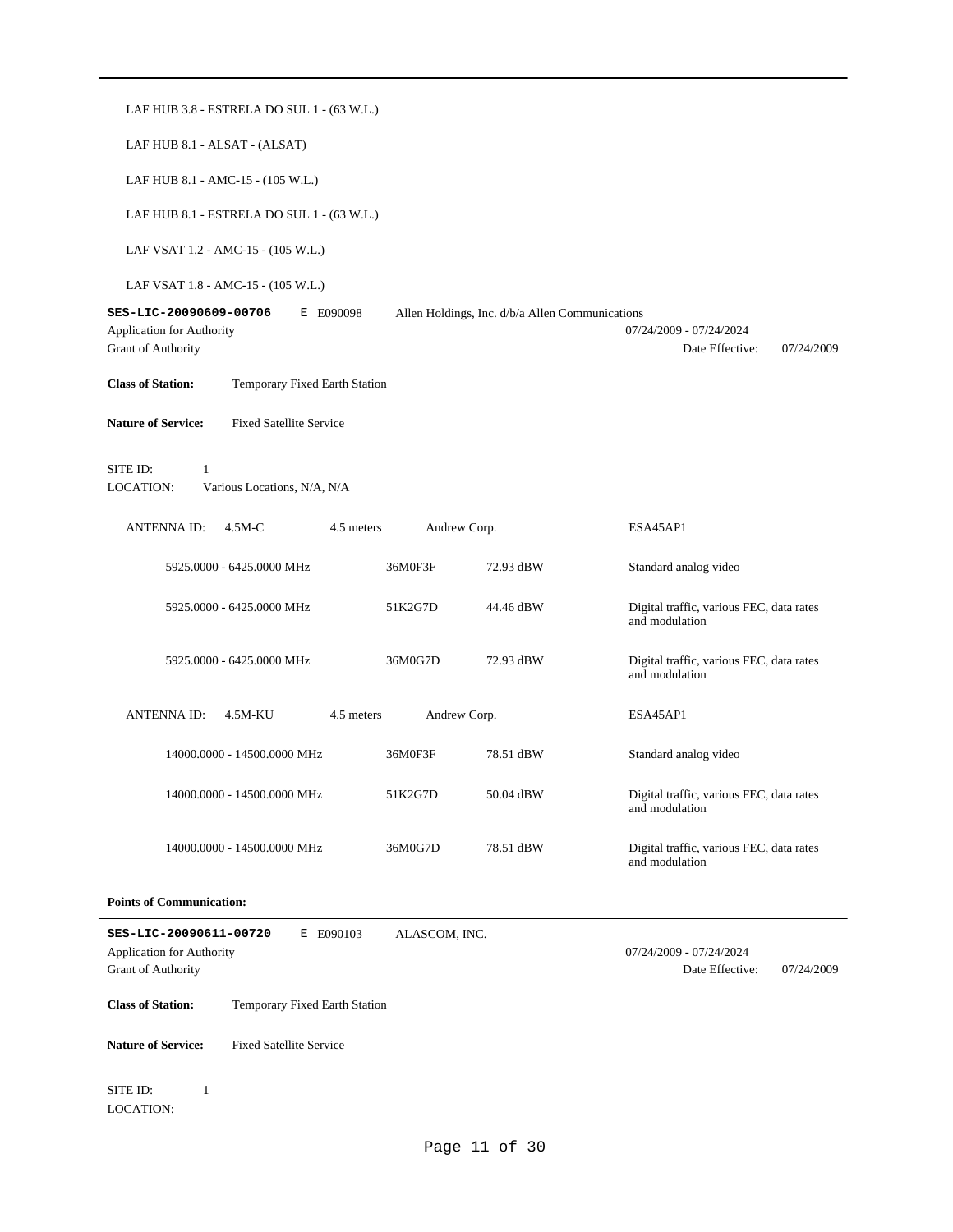| LAF HUB 3.8 - ESTRELA DO SUL 1 - (63 W.L.)                                                           |               |                                                 |                                                            |  |  |  |  |
|------------------------------------------------------------------------------------------------------|---------------|-------------------------------------------------|------------------------------------------------------------|--|--|--|--|
| LAF HUB 8.1 - ALSAT - (ALSAT)                                                                        |               |                                                 |                                                            |  |  |  |  |
| LAF HUB 8.1 - AMC-15 - (105 W.L.)                                                                    |               |                                                 |                                                            |  |  |  |  |
| LAF HUB 8.1 - ESTRELA DO SUL 1 - (63 W.L.)                                                           |               |                                                 |                                                            |  |  |  |  |
| LAF VSAT 1.2 - AMC-15 - (105 W.L.)                                                                   |               |                                                 |                                                            |  |  |  |  |
| LAF VSAT 1.8 - AMC-15 - (105 W.L.)                                                                   |               |                                                 |                                                            |  |  |  |  |
| SES-LIC-20090609-00706<br>E E090098<br>Application for Authority<br><b>Grant of Authority</b>        |               | Allen Holdings, Inc. d/b/a Allen Communications | 07/24/2009 - 07/24/2024<br>Date Effective:<br>07/24/2009   |  |  |  |  |
| <b>Class of Station:</b><br>Temporary Fixed Earth Station                                            |               |                                                 |                                                            |  |  |  |  |
| <b>Nature of Service:</b><br><b>Fixed Satellite Service</b>                                          |               |                                                 |                                                            |  |  |  |  |
| SITE ID:<br>$\mathbf{1}$<br><b>LOCATION:</b><br>Various Locations, N/A, N/A                          |               |                                                 |                                                            |  |  |  |  |
| <b>ANTENNAID:</b><br>$4.5M-C$<br>4.5 meters                                                          | Andrew Corp.  |                                                 | ESA45AP1                                                   |  |  |  |  |
| 5925.0000 - 6425.0000 MHz                                                                            | 36M0F3F       | 72.93 dBW                                       | Standard analog video                                      |  |  |  |  |
| 5925.0000 - 6425.0000 MHz                                                                            | 51K2G7D       | 44.46 dBW                                       | Digital traffic, various FEC, data rates<br>and modulation |  |  |  |  |
| 5925.0000 - 6425.0000 MHz                                                                            | 36M0G7D       | 72.93 dBW                                       | Digital traffic, various FEC, data rates<br>and modulation |  |  |  |  |
| <b>ANTENNAID:</b><br>4.5 meters<br>4.5M-KU                                                           | Andrew Corp.  |                                                 | ESA45AP1                                                   |  |  |  |  |
| 14000.0000 - 14500.0000 MHz                                                                          | 36M0F3F       | 78.51 dBW                                       | Standard analog video                                      |  |  |  |  |
| 14000.0000 - 14500.0000 MHz                                                                          | 51K2G7D       | 50.04 dBW                                       | Digital traffic, various FEC, data rates<br>and modulation |  |  |  |  |
| 14000.0000 - 14500.0000 MHz                                                                          | 36M0G7D       | 78.51 dBW                                       | Digital traffic, various FEC, data rates<br>and modulation |  |  |  |  |
| <b>Points of Communication:</b>                                                                      |               |                                                 |                                                            |  |  |  |  |
| SES-LIC-20090611-00720<br>E E090103<br><b>Application for Authority</b><br><b>Grant of Authority</b> | ALASCOM, INC. |                                                 | 07/24/2009 - 07/24/2024<br>Date Effective:<br>07/24/2009   |  |  |  |  |
| <b>Class of Station:</b><br>Temporary Fixed Earth Station                                            |               |                                                 |                                                            |  |  |  |  |
| <b>Fixed Satellite Service</b><br><b>Nature of Service:</b>                                          |               |                                                 |                                                            |  |  |  |  |
| SITE ID:<br>$\mathbf{1}$<br>LOCATION:                                                                |               |                                                 |                                                            |  |  |  |  |

Page 11 of 30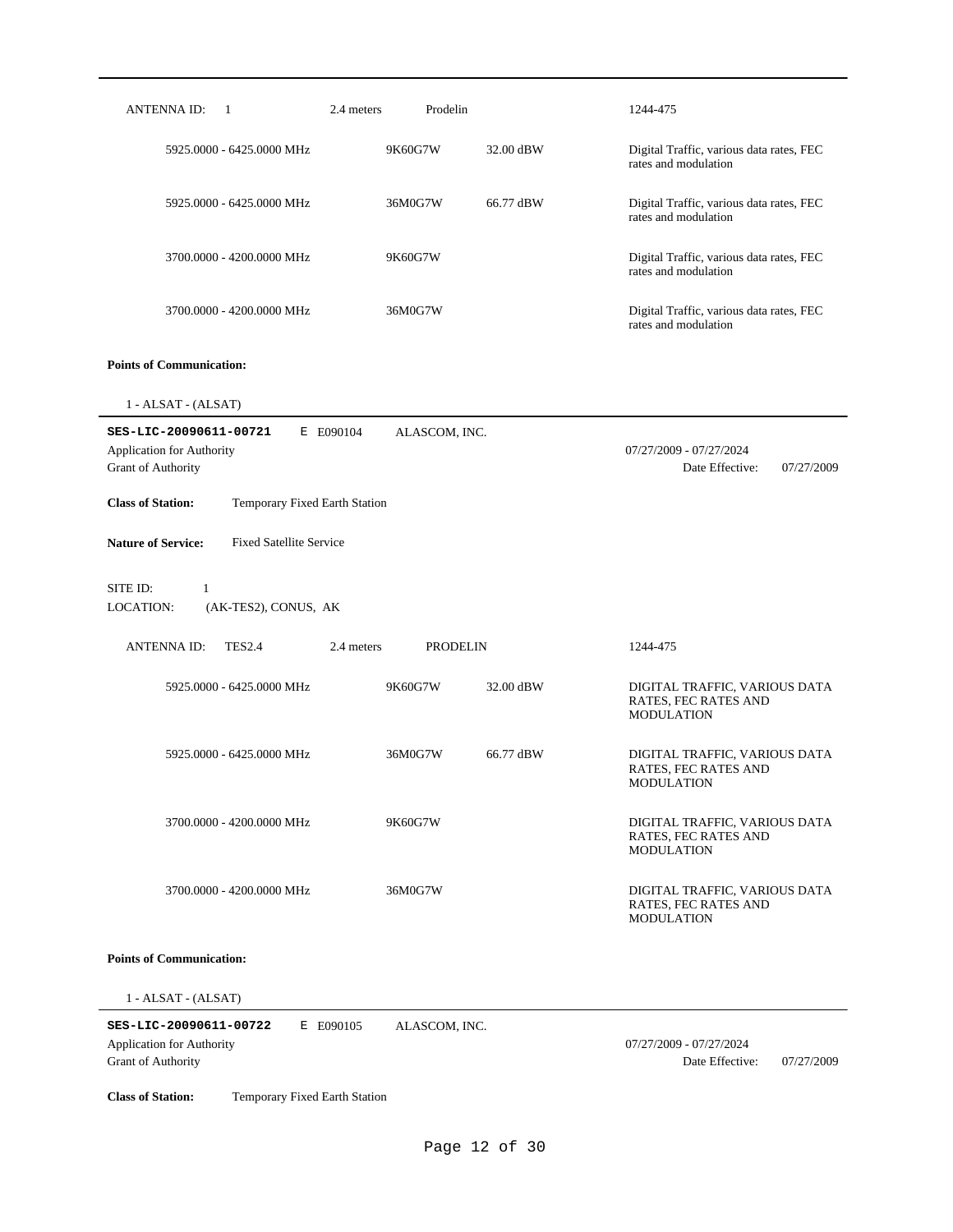| <b>ANTENNA ID:</b><br>-1                                                                      | 2.4 meters<br>Prodelin        |           | 1244-475                                                                   |
|-----------------------------------------------------------------------------------------------|-------------------------------|-----------|----------------------------------------------------------------------------|
| 5925,0000 - 6425,0000 MHz                                                                     | 9K60G7W                       | 32.00 dBW | Digital Traffic, various data rates, FEC<br>rates and modulation           |
| 5925.0000 - 6425.0000 MHz                                                                     | 36M0G7W                       | 66.77 dBW | Digital Traffic, various data rates, FEC<br>rates and modulation           |
| 3700.0000 - 4200.0000 MHz                                                                     | 9K60G7W                       |           | Digital Traffic, various data rates, FEC<br>rates and modulation           |
| 3700.0000 - 4200.0000 MHz                                                                     | 36M0G7W                       |           | Digital Traffic, various data rates, FEC<br>rates and modulation           |
| <b>Points of Communication:</b>                                                               |                               |           |                                                                            |
| 1 - ALSAT - (ALSAT)                                                                           |                               |           |                                                                            |
| SES-LIC-20090611-00721<br>E E090104<br>Application for Authority<br><b>Grant of Authority</b> | ALASCOM, INC.                 |           | 07/27/2009 - 07/27/2024<br>Date Effective:<br>07/27/2009                   |
| <b>Class of Station:</b><br>Temporary Fixed Earth Station                                     |                               |           |                                                                            |
| <b>Nature of Service:</b><br><b>Fixed Satellite Service</b>                                   |                               |           |                                                                            |
| SITE ID:<br>1<br>LOCATION:<br>(AK-TES2), CONUS, AK                                            |                               |           |                                                                            |
| <b>TES2.4</b><br><b>ANTENNA ID:</b>                                                           | 2.4 meters<br><b>PRODELIN</b> |           | 1244-475                                                                   |
| 5925.0000 - 6425.0000 MHz                                                                     | 9K60G7W                       | 32.00 dBW | DIGITAL TRAFFIC, VARIOUS DATA<br>RATES, FEC RATES AND<br><b>MODULATION</b> |
| 5925.0000 - 6425.0000 MHz                                                                     | 36M0G7W                       | 66.77 dBW | DIGITAL TRAFFIC, VARIOUS DATA<br>RATES, FEC RATES AND<br><b>MODULATION</b> |
| 3700.0000 - 4200.0000 MHz                                                                     | 9K60G7W                       |           | DIGITAL TRAFFIC, VARIOUS DATA<br>RATES, FEC RATES AND<br><b>MODULATION</b> |
| 3700.0000 - 4200.0000 MHz                                                                     | 36M0G7W                       |           | DIGITAL TRAFFIC, VARIOUS DATA<br>RATES, FEC RATES AND<br><b>MODULATION</b> |
| <b>Points of Communication:</b>                                                               |                               |           |                                                                            |
| 1 - ALSAT - (ALSAT)                                                                           |                               |           |                                                                            |

**SES-LIC-20090611-00722** E E090105 Grant of Authority Application for Authority 07/27/2009 - 07/27/2024 ALASCOM, INC.

Date Effective: 07/27/2009

**Class of Station:** Temporary Fixed Earth Station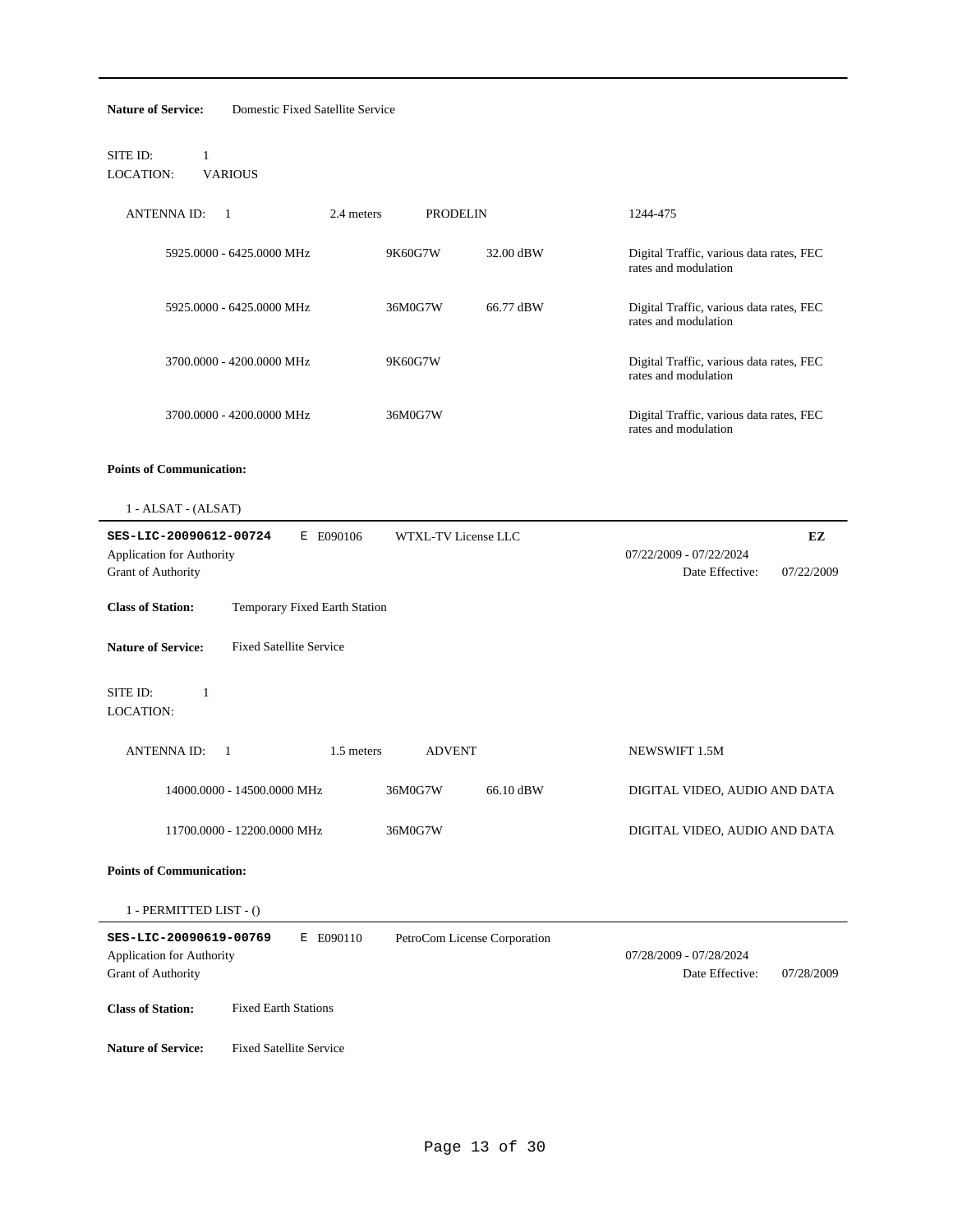| SITE ID:                                                      | $\mathbf{1}$                        |                               |                              |                                                                  |
|---------------------------------------------------------------|-------------------------------------|-------------------------------|------------------------------|------------------------------------------------------------------|
| LOCATION:                                                     | <b>VARIOUS</b>                      |                               |                              |                                                                  |
| ANTENNA ID:                                                   | $\overline{1}$                      | 2.4 meters<br><b>PRODELIN</b> |                              | 1244-475                                                         |
|                                                               | 5925.0000 - 6425.0000 MHz           | 9K60G7W                       | 32.00 dBW                    | Digital Traffic, various data rates, FEC<br>rates and modulation |
|                                                               | 5925.0000 - 6425.0000 MHz           | 36M0G7W                       | 66.77 dBW                    | Digital Traffic, various data rates, FEC<br>rates and modulation |
|                                                               | 3700.0000 - 4200.0000 MHz           | 9K60G7W                       |                              | Digital Traffic, various data rates, FEC<br>rates and modulation |
|                                                               | 3700.0000 - 4200.0000 MHz           | 36M0G7W                       |                              | Digital Traffic, various data rates, FEC<br>rates and modulation |
| <b>Points of Communication:</b>                               |                                     |                               |                              |                                                                  |
| 1 - ALSAT - (ALSAT)                                           |                                     |                               |                              |                                                                  |
| Application for Authority<br>Grant of Authority               | SES-LIC-20090612-00724<br>E E090106 | WTXL-TV License LLC           |                              | EZ<br>07/22/2009 - 07/22/2024<br>Date Effective:<br>07/22/2009   |
| <b>Class of Station:</b>                                      | Temporary Fixed Earth Station       |                               |                              |                                                                  |
| <b>Nature of Service:</b>                                     | <b>Fixed Satellite Service</b>      |                               |                              |                                                                  |
|                                                               |                                     |                               |                              |                                                                  |
|                                                               | $\mathbf{1}$                        |                               |                              |                                                                  |
| ANTENNA ID:                                                   | -1                                  | 1.5 meters<br><b>ADVENT</b>   |                              | NEWSWIFT 1.5M                                                    |
|                                                               | 14000.0000 - 14500.0000 MHz         | 36M0G7W                       | 66.10 dBW                    | DIGITAL VIDEO, AUDIO AND DATA                                    |
|                                                               | 11700.0000 - 12200.0000 MHz         | 36M0G7W                       |                              | DIGITAL VIDEO, AUDIO AND DATA                                    |
|                                                               |                                     |                               |                              |                                                                  |
| SITE ID:<br>LOCATION:<br><b>Points of Communication:</b>      | 1 - PERMITTED LIST - ()             |                               |                              |                                                                  |
| <b>Application for Authority</b><br><b>Grant of Authority</b> | SES-LIC-20090619-00769<br>E E090110 |                               | PetroCom License Corporation | 07/28/2009 - 07/28/2024<br>Date Effective:<br>07/28/2009         |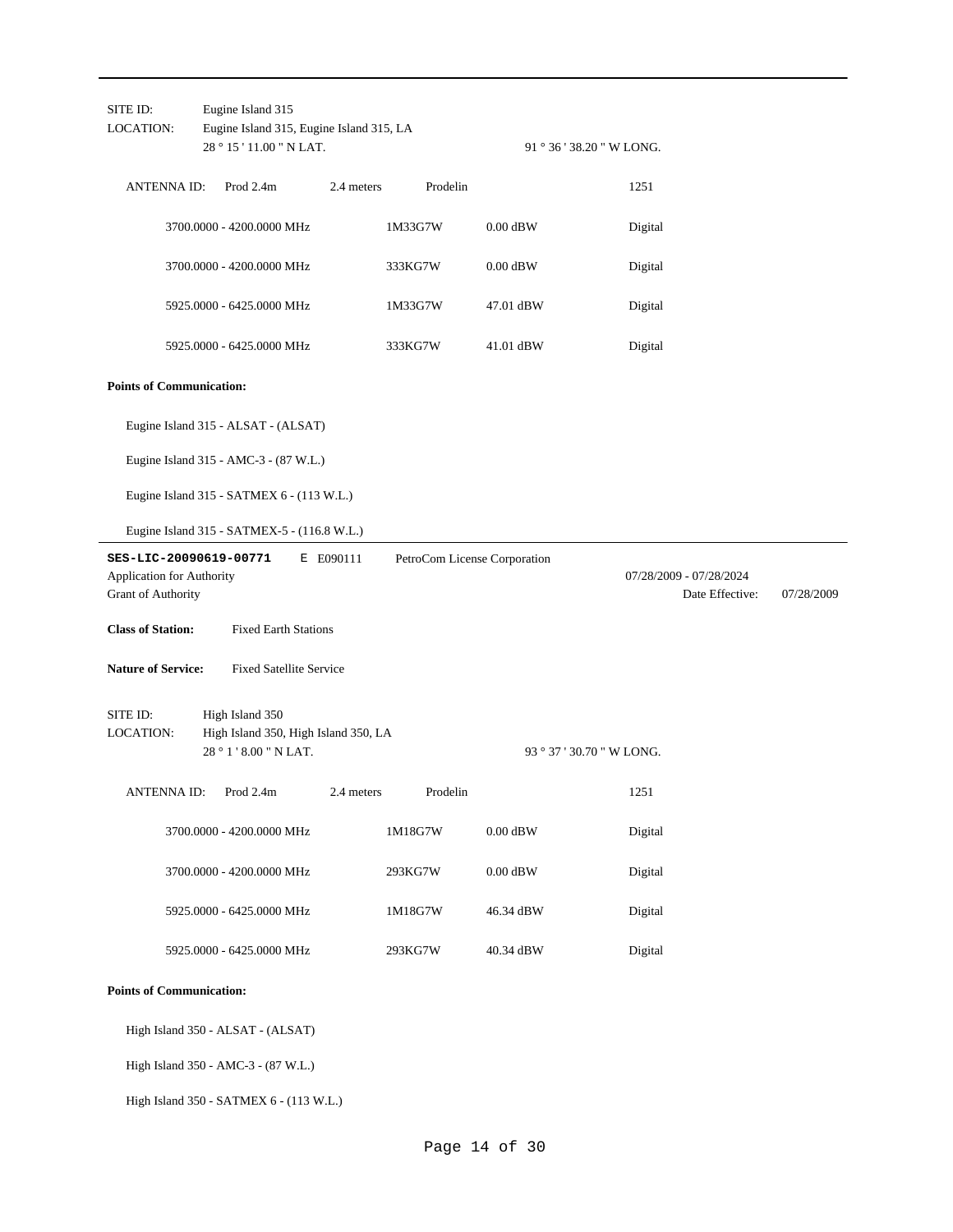| SITE ID:<br>LOCATION:                                                     | Eugine Island 315<br>Eugine Island 315, Eugine Island 315, LA<br>28 ° 15 ' 11.00 " N LAT. |            |                              |            | 91 ° 36 ' 38.20 " W LONG. |                                            |            |
|---------------------------------------------------------------------------|-------------------------------------------------------------------------------------------|------------|------------------------------|------------|---------------------------|--------------------------------------------|------------|
| <b>ANTENNAID:</b>                                                         | Prod 2.4m                                                                                 | 2.4 meters | Prodelin                     |            | 1251                      |                                            |            |
|                                                                           | 3700.0000 - 4200.0000 MHz                                                                 |            | 1M33G7W                      | $0.00$ dBW | Digital                   |                                            |            |
|                                                                           | 3700.0000 - 4200.0000 MHz                                                                 |            | 333KG7W                      | $0.00$ dBW | Digital                   |                                            |            |
|                                                                           | 5925.0000 - 6425.0000 MHz                                                                 |            | 1M33G7W                      | 47.01 dBW  | Digital                   |                                            |            |
|                                                                           | 5925.0000 - 6425.0000 MHz                                                                 |            | 333KG7W                      | 41.01 dBW  | Digital                   |                                            |            |
| <b>Points of Communication:</b>                                           |                                                                                           |            |                              |            |                           |                                            |            |
|                                                                           | Eugine Island 315 - ALSAT - (ALSAT)                                                       |            |                              |            |                           |                                            |            |
|                                                                           | Eugine Island 315 - AMC-3 - (87 W.L.)                                                     |            |                              |            |                           |                                            |            |
|                                                                           | Eugine Island 315 - SATMEX 6 - (113 W.L.)                                                 |            |                              |            |                           |                                            |            |
|                                                                           | Eugine Island 315 - SATMEX-5 - (116.8 W.L.)                                               |            |                              |            |                           |                                            |            |
| SES-LIC-20090619-00771<br>Application for Authority<br>Grant of Authority |                                                                                           | E E090111  | PetroCom License Corporation |            |                           | 07/28/2009 - 07/28/2024<br>Date Effective: | 07/28/2009 |
| <b>Class of Station:</b>                                                  | <b>Fixed Earth Stations</b>                                                               |            |                              |            |                           |                                            |            |
| <b>Nature of Service:</b>                                                 | <b>Fixed Satellite Service</b>                                                            |            |                              |            |                           |                                            |            |
| SITE ID:<br>LOCATION:                                                     | High Island 350<br>High Island 350, High Island 350, LA<br>28 ° 1 ' 8.00 " N LAT.         |            |                              |            | 93 ° 37 ' 30.70 " W LONG. |                                            |            |
| <b>ANTENNAID:</b>                                                         | Prod 2.4m                                                                                 | 2.4 meters | Prodelin                     |            | 1251                      |                                            |            |
|                                                                           | 3700.0000 - 4200.0000 MHz                                                                 |            | 1M18G7W                      | $0.00$ dBW | Digital                   |                                            |            |
|                                                                           | 3700.0000 - 4200.0000 MHz                                                                 |            | 293KG7W                      | $0.00$ dBW | Digital                   |                                            |            |
|                                                                           | 5925.0000 - 6425.0000 MHz                                                                 |            | 1M18G7W                      | 46.34 dBW  | Digital                   |                                            |            |
|                                                                           | 5925.0000 - 6425.0000 MHz                                                                 |            | 293KG7W                      | 40.34 dBW  | Digital                   |                                            |            |
| <b>Points of Communication:</b>                                           |                                                                                           |            |                              |            |                           |                                            |            |
|                                                                           | High Island 350 - ALSAT - (ALSAT)                                                         |            |                              |            |                           |                                            |            |
|                                                                           | High Island 350 - AMC-3 - (87 W.L.)                                                       |            |                              |            |                           |                                            |            |
|                                                                           | High Island 350 - SATMEX 6 - (113 W.L.)                                                   |            |                              |            |                           |                                            |            |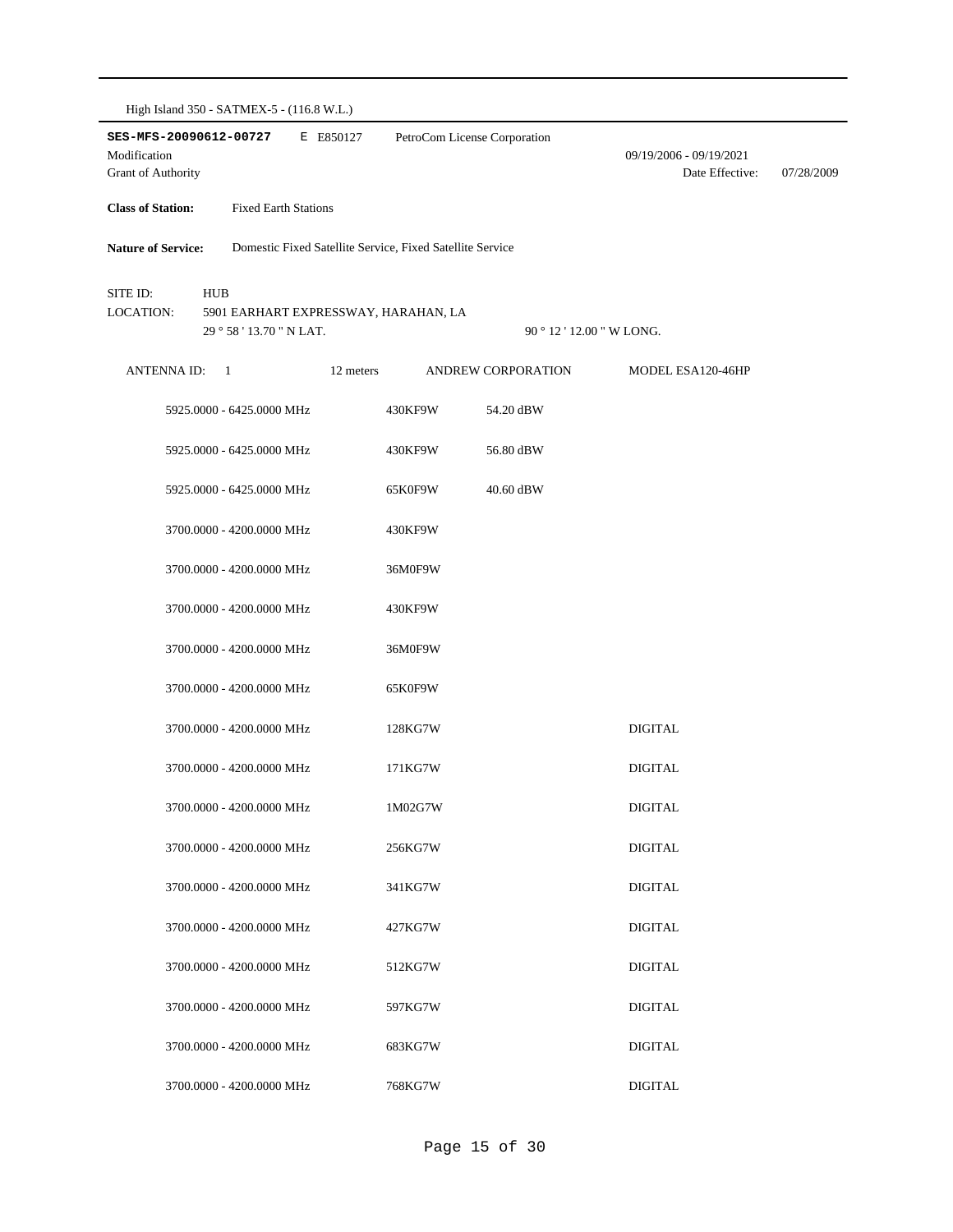| High Island 350 - SATMEX-5 - (116.8 W.L.)                           |                |                             |           |                                                           |                           |                                            |            |
|---------------------------------------------------------------------|----------------|-----------------------------|-----------|-----------------------------------------------------------|---------------------------|--------------------------------------------|------------|
| SES-MFS-20090612-00727<br>Modification<br><b>Grant of Authority</b> |                |                             | E E850127 | PetroCom License Corporation                              |                           | 09/19/2006 - 09/19/2021<br>Date Effective: | 07/28/2009 |
| <b>Class of Station:</b>                                            |                | <b>Fixed Earth Stations</b> |           |                                                           |                           |                                            |            |
| <b>Nature of Service:</b>                                           |                |                             |           | Domestic Fixed Satellite Service, Fixed Satellite Service |                           |                                            |            |
| SITE ID:<br>LOCATION:                                               | <b>HUB</b>     | 29 ° 58 ' 13.70 " N LAT.    |           | 5901 EARHART EXPRESSWAY, HARAHAN, LA                      | 90 ° 12 ' 12.00 " W LONG. |                                            |            |
| ANTENNA ID:                                                         | $\overline{1}$ |                             | 12 meters |                                                           | ANDREW CORPORATION        | MODEL ESA120-46HP                          |            |
|                                                                     |                | 5925.0000 - 6425.0000 MHz   |           | 430KF9W                                                   | 54.20 dBW                 |                                            |            |
|                                                                     |                | 5925.0000 - 6425.0000 MHz   |           | 430KF9W                                                   | 56.80 dBW                 |                                            |            |
|                                                                     |                | 5925.0000 - 6425.0000 MHz   |           | 65K0F9W                                                   | 40.60 dBW                 |                                            |            |
|                                                                     |                | 3700.0000 - 4200.0000 MHz   |           | 430KF9W                                                   |                           |                                            |            |
|                                                                     |                | 3700.0000 - 4200.0000 MHz   |           | 36M0F9W                                                   |                           |                                            |            |
|                                                                     |                | 3700.0000 - 4200.0000 MHz   |           | 430KF9W                                                   |                           |                                            |            |
|                                                                     |                | 3700.0000 - 4200.0000 MHz   |           | 36M0F9W                                                   |                           |                                            |            |
|                                                                     |                | 3700.0000 - 4200.0000 MHz   |           | 65K0F9W                                                   |                           |                                            |            |
|                                                                     |                | 3700.0000 - 4200.0000 MHz   |           | 128KG7W                                                   |                           | <b>DIGITAL</b>                             |            |
|                                                                     |                | 3700.0000 - 4200.0000 MHz   |           | 171KG7W                                                   |                           | <b>DIGITAL</b>                             |            |
|                                                                     |                | 3700.0000 - 4200.0000 MHz   |           | 1M02G7W                                                   |                           | <b>DIGITAL</b>                             |            |
|                                                                     |                | 3700.0000 - 4200.0000 MHz   |           | 256KG7W                                                   |                           | <b>DIGITAL</b>                             |            |
|                                                                     |                | 3700.0000 - 4200.0000 MHz   |           | 341KG7W                                                   |                           | <b>DIGITAL</b>                             |            |
|                                                                     |                | 3700.0000 - 4200.0000 MHz   |           | 427KG7W                                                   |                           | <b>DIGITAL</b>                             |            |
|                                                                     |                | 3700.0000 - 4200.0000 MHz   |           | 512KG7W                                                   |                           | <b>DIGITAL</b>                             |            |
|                                                                     |                | 3700.0000 - 4200.0000 MHz   |           | 597KG7W                                                   |                           | <b>DIGITAL</b>                             |            |
|                                                                     |                | 3700.0000 - 4200.0000 MHz   |           | 683KG7W                                                   |                           | <b>DIGITAL</b>                             |            |
|                                                                     |                | 3700.0000 - 4200.0000 MHz   |           | 768KG7W                                                   |                           | <b>DIGITAL</b>                             |            |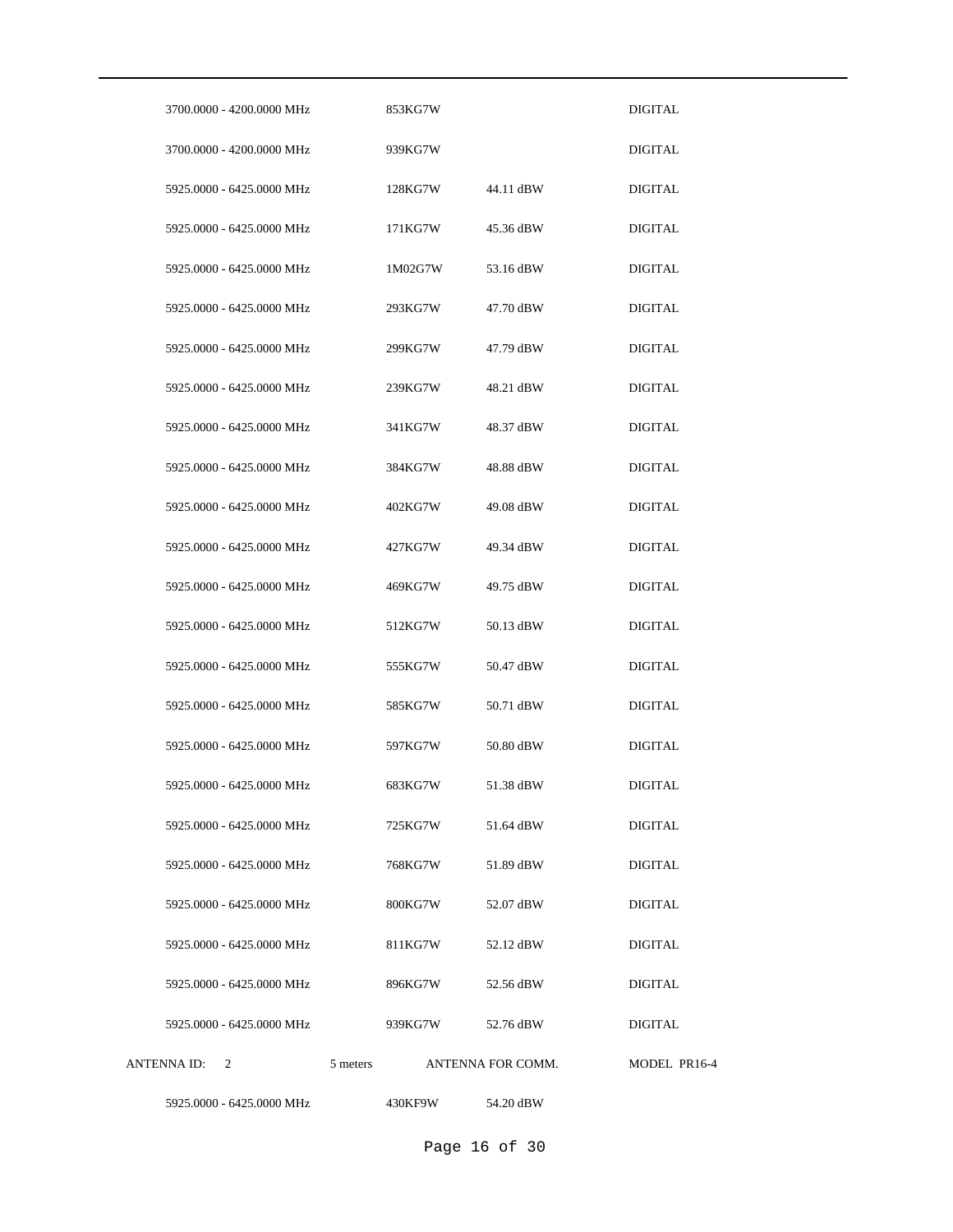| 3700.0000 - 4200.0000 MHz |          | 853KG7W |                   | <b>DIGITAL</b> |
|---------------------------|----------|---------|-------------------|----------------|
| 3700.0000 - 4200.0000 MHz |          | 939KG7W |                   | <b>DIGITAL</b> |
| 5925.0000 - 6425.0000 MHz |          | 128KG7W | 44.11 dBW         | <b>DIGITAL</b> |
| 5925.0000 - 6425.0000 MHz |          | 171KG7W | 45.36 dBW         | DIGITAL        |
| 5925.0000 - 6425.0000 MHz |          | 1M02G7W | 53.16 dBW         | DIGITAL        |
| 5925.0000 - 6425.0000 MHz |          | 293KG7W | 47.70 dBW         | DIGITAL        |
| 5925.0000 - 6425.0000 MHz |          | 299KG7W | 47.79 dBW         | DIGITAL        |
| 5925.0000 - 6425.0000 MHz |          | 239KG7W | 48.21 dBW         | DIGITAL        |
| 5925,0000 - 6425,0000 MHz |          | 341KG7W | 48.37 dBW         | <b>DIGITAL</b> |
| 5925,0000 - 6425,0000 MHz |          | 384KG7W | 48.88 dBW         | <b>DIGITAL</b> |
| 5925.0000 - 6425.0000 MHz |          | 402KG7W | 49.08 dBW         | <b>DIGITAL</b> |
| 5925.0000 - 6425.0000 MHz |          | 427KG7W | 49.34 dBW         | <b>DIGITAL</b> |
| 5925.0000 - 6425.0000 MHz |          | 469KG7W | 49.75 dBW         | <b>DIGITAL</b> |
| 5925.0000 - 6425.0000 MHz |          | 512KG7W | 50.13 dBW         | <b>DIGITAL</b> |
| 5925.0000 - 6425.0000 MHz |          | 555KG7W | 50.47 dBW         | <b>DIGITAL</b> |
| 5925,0000 - 6425,0000 MHz |          | 585KG7W | 50.71 dBW         | <b>DIGITAL</b> |
| 5925.0000 - 6425.0000 MHz |          | 597KG7W | 50.80 dBW         | <b>DIGITAL</b> |
| 5925.0000 - 6425.0000 MHz |          | 683KG7W | 51.38 dBW         | DIGITAL        |
| 5925.0000 - 6425.0000 MHz |          | 725KG7W | 51.64 dBW         | DIGITAL        |
| 5925.0000 - 6425.0000 MHz |          | 768KG7W | 51.89 dBW         | <b>DIGITAL</b> |
| 5925.0000 - 6425.0000 MHz |          | 800KG7W | 52.07 dBW         | <b>DIGITAL</b> |
| 5925.0000 - 6425.0000 MHz |          | 811KG7W | 52.12 dBW         | <b>DIGITAL</b> |
| 5925,0000 - 6425,0000 MHz |          | 896KG7W | 52.56 dBW         | DIGITAL        |
| 5925.0000 - 6425.0000 MHz |          | 939KG7W | 52.76 dBW         | DIGITAL        |
| ANTENNA ID: 2             | 5 meters |         | ANTENNA FOR COMM. | MODEL PR16-4   |
| 5925.0000 - 6425.0000 MHz |          | 430KF9W | 54.20 dBW         |                |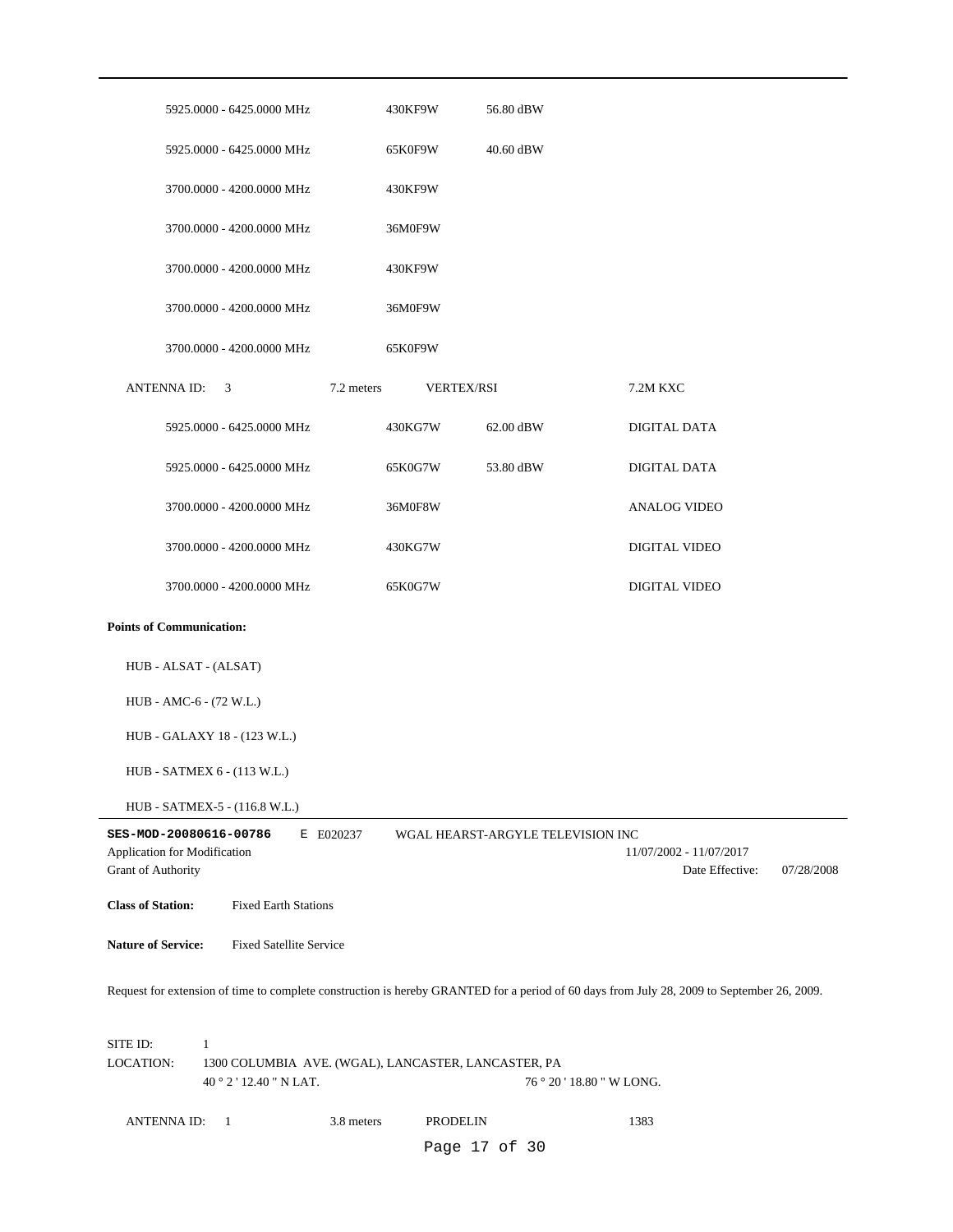|                           |                                 | 5925.0000 - 6425.0000 MHz                           |            | 430KF9W           | 56.80 dBW                         |                                                                                                                                            |            |
|---------------------------|---------------------------------|-----------------------------------------------------|------------|-------------------|-----------------------------------|--------------------------------------------------------------------------------------------------------------------------------------------|------------|
|                           |                                 | 5925.0000 - 6425.0000 MHz                           |            | 65K0F9W           | 40.60 dBW                         |                                                                                                                                            |            |
|                           |                                 | 3700.0000 - 4200.0000 MHz                           |            | 430KF9W           |                                   |                                                                                                                                            |            |
|                           |                                 | 3700.0000 - 4200.0000 MHz                           |            | 36M0F9W           |                                   |                                                                                                                                            |            |
|                           |                                 | 3700.0000 - 4200.0000 MHz                           |            | 430KF9W           |                                   |                                                                                                                                            |            |
|                           |                                 | 3700.0000 - 4200.0000 MHz                           |            | 36M0F9W           |                                   |                                                                                                                                            |            |
|                           |                                 | 3700.0000 - 4200.0000 MHz                           | 65K0F9W    |                   |                                   |                                                                                                                                            |            |
|                           | ANTENNA ID: 3                   |                                                     | 7.2 meters | <b>VERTEX/RSI</b> |                                   | 7.2M KXC                                                                                                                                   |            |
|                           |                                 | 5925.0000 - 6425.0000 MHz                           |            | 430KG7W           | 62.00 dBW                         | DIGITAL DATA                                                                                                                               |            |
|                           |                                 | 5925.0000 - 6425.0000 MHz                           |            | 65K0G7W           | 53.80 dBW                         | DIGITAL DATA                                                                                                                               |            |
|                           |                                 | 3700.0000 - 4200.0000 MHz                           |            | 36M0F8W           |                                   | <b>ANALOG VIDEO</b>                                                                                                                        |            |
|                           |                                 | 3700.0000 - 4200.0000 MHz                           |            | 430KG7W           |                                   | DIGITAL VIDEO                                                                                                                              |            |
|                           |                                 | 3700.0000 - 4200.0000 MHz                           |            | 65K0G7W           |                                   | DIGITAL VIDEO                                                                                                                              |            |
|                           | <b>Points of Communication:</b> |                                                     |            |                   |                                   |                                                                                                                                            |            |
|                           | HUB - ALSAT - (ALSAT)           |                                                     |            |                   |                                   |                                                                                                                                            |            |
|                           | HUB - AMC-6 - (72 W.L.)         |                                                     |            |                   |                                   |                                                                                                                                            |            |
|                           |                                 | HUB - GALAXY 18 - (123 W.L.)                        |            |                   |                                   |                                                                                                                                            |            |
|                           |                                 | HUB - SATMEX 6 - (113 W.L.)                         |            |                   |                                   |                                                                                                                                            |            |
|                           |                                 | HUB - SATMEX-5 - (116.8 W.L.)                       |            |                   |                                   |                                                                                                                                            |            |
|                           | SES-MOD-20080616-00786          |                                                     | E E020237  |                   | WGAL HEARST-ARGYLE TELEVISION INC |                                                                                                                                            |            |
|                           | Application for Modification    |                                                     |            |                   |                                   | 11/07/2002 - 11/07/2017                                                                                                                    |            |
| Grant of Authority        |                                 |                                                     |            |                   |                                   | Date Effective:                                                                                                                            | 07/28/2008 |
| <b>Class of Station:</b>  |                                 | <b>Fixed Earth Stations</b>                         |            |                   |                                   |                                                                                                                                            |            |
| <b>Nature of Service:</b> |                                 | <b>Fixed Satellite Service</b>                      |            |                   |                                   |                                                                                                                                            |            |
|                           |                                 |                                                     |            |                   |                                   | Request for extension of time to complete construction is hereby GRANTED for a period of 60 days from July 28, 2009 to September 26, 2009. |            |
|                           |                                 |                                                     |            |                   |                                   |                                                                                                                                            |            |
| SITE ID:                  | $\mathbf{1}$                    |                                                     |            |                   |                                   |                                                                                                                                            |            |
|                           |                                 | 1300 COLUMBIA AVE. (WGAL), LANCASTER, LANCASTER, PA |            |                   |                                   |                                                                                                                                            |            |
| <b>LOCATION:</b>          |                                 | 40°2'12.40" N LAT.                                  |            |                   | 76 ° 20 ' 18.80 " W LONG.         |                                                                                                                                            |            |
|                           | <b>ANTENNAID:</b>               | - 1                                                 | 3.8 meters | PRODELIN          |                                   | 1383                                                                                                                                       |            |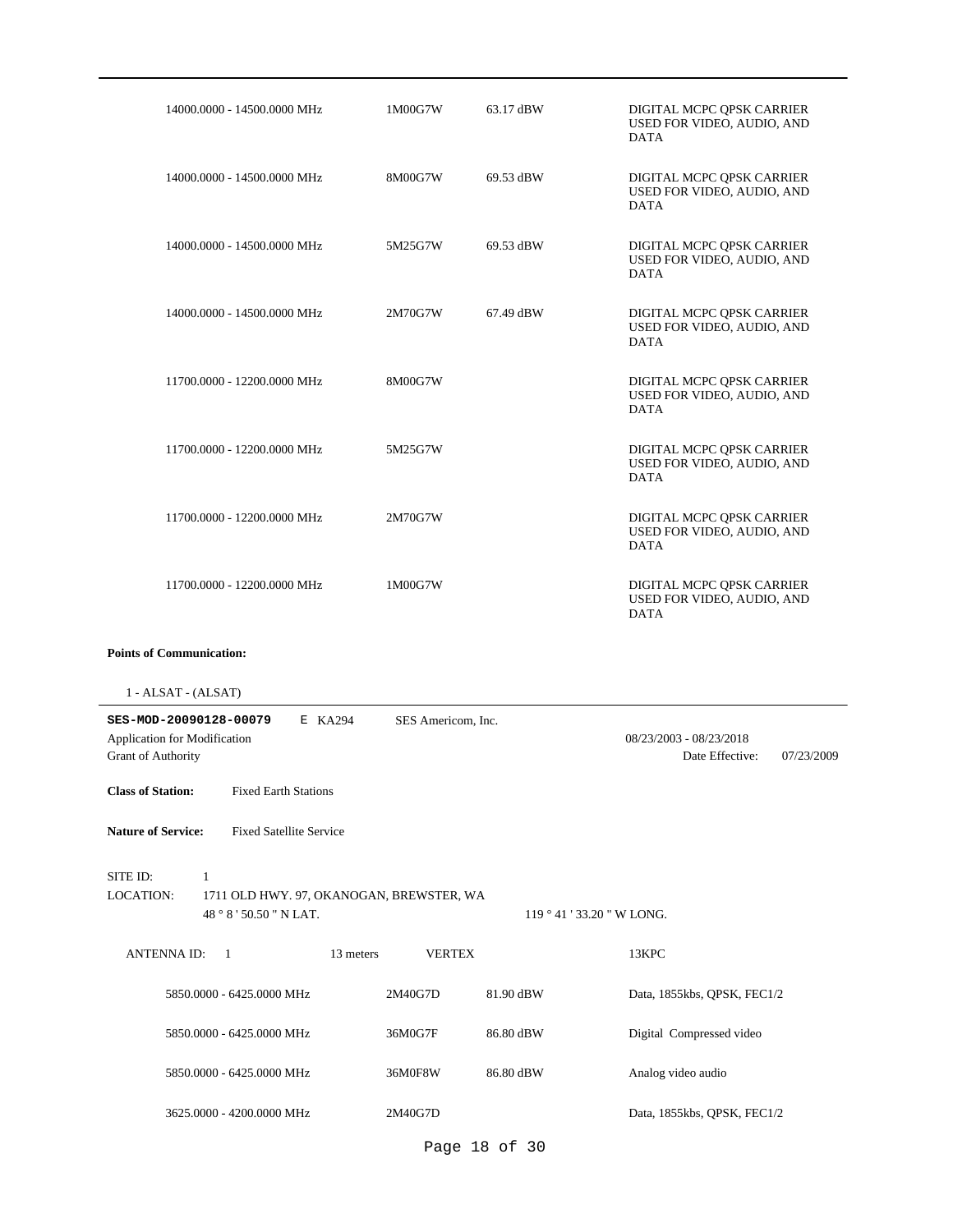| 14000.0000 - 14500.0000 MHz                                                                                                                       | 1M00G7W            | 63.17 dBW | DIGITAL MCPC QPSK CARRIER<br>USED FOR VIDEO, AUDIO, AND<br><b>DATA</b> |  |  |  |  |  |
|---------------------------------------------------------------------------------------------------------------------------------------------------|--------------------|-----------|------------------------------------------------------------------------|--|--|--|--|--|
| 14000.0000 - 14500.0000 MHz                                                                                                                       | 8M00G7W            | 69.53 dBW | DIGITAL MCPC QPSK CARRIER<br>USED FOR VIDEO, AUDIO, AND<br><b>DATA</b> |  |  |  |  |  |
| 14000.0000 - 14500.0000 MHz                                                                                                                       | 5M25G7W            | 69.53 dBW | DIGITAL MCPC QPSK CARRIER<br>USED FOR VIDEO, AUDIO, AND<br><b>DATA</b> |  |  |  |  |  |
| 14000.0000 - 14500.0000 MHz                                                                                                                       | 2M70G7W            | 67.49 dBW | DIGITAL MCPC QPSK CARRIER<br>USED FOR VIDEO, AUDIO, AND<br><b>DATA</b> |  |  |  |  |  |
| 11700.0000 - 12200.0000 MHz                                                                                                                       | 8M00G7W            |           | DIGITAL MCPC QPSK CARRIER<br>USED FOR VIDEO, AUDIO, AND<br><b>DATA</b> |  |  |  |  |  |
| 11700.0000 - 12200.0000 MHz                                                                                                                       | 5M25G7W            |           | DIGITAL MCPC QPSK CARRIER<br>USED FOR VIDEO, AUDIO, AND<br><b>DATA</b> |  |  |  |  |  |
| 11700.0000 - 12200.0000 MHz                                                                                                                       | 2M70G7W            |           | DIGITAL MCPC QPSK CARRIER<br>USED FOR VIDEO, AUDIO, AND<br><b>DATA</b> |  |  |  |  |  |
| 11700.0000 - 12200.0000 MHz                                                                                                                       | 1M00G7W            |           | DIGITAL MCPC QPSK CARRIER<br>USED FOR VIDEO, AUDIO, AND<br><b>DATA</b> |  |  |  |  |  |
| <b>Points of Communication:</b>                                                                                                                   |                    |           |                                                                        |  |  |  |  |  |
| 1 - ALSAT - (ALSAT)                                                                                                                               |                    |           |                                                                        |  |  |  |  |  |
| SES-MOD-20090128-00079<br>E KA294<br>Application for Modification<br><b>Grant of Authority</b>                                                    | SES Americom, Inc. |           | 08/23/2003 - 08/23/2018<br>Date Effective:<br>07/23/2009               |  |  |  |  |  |
| <b>Class of Station:</b><br><b>Fixed Earth Stations</b>                                                                                           |                    |           |                                                                        |  |  |  |  |  |
| <b>Nature of Service:</b><br><b>Fixed Satellite Service</b>                                                                                       |                    |           |                                                                        |  |  |  |  |  |
| SITE ID:<br>$\mathbf{1}$<br><b>LOCATION:</b><br>1711 OLD HWY. 97, OKANOGAN, BREWSTER, WA<br>48 ° 8 ' 50.50 " N LAT.<br>119 ° 41 ' 33.20 " W LONG. |                    |           |                                                                        |  |  |  |  |  |
| ANTENNA ID:<br>$\mathbf{1}$<br>13 meters                                                                                                          | <b>VERTEX</b>      |           | 13KPC                                                                  |  |  |  |  |  |
| 5850.0000 - 6425.0000 MHz                                                                                                                         | 2M40G7D            | 81.90 dBW | Data, 1855kbs, QPSK, FEC1/2                                            |  |  |  |  |  |
| 5850.0000 - 6425.0000 MHz                                                                                                                         | 36M0G7F            | 86.80 dBW | Digital Compressed video                                               |  |  |  |  |  |
| 5850.0000 - 6425.0000 MHz                                                                                                                         | 36M0F8W            | 86.80 dBW | Analog video audio                                                     |  |  |  |  |  |
| 3625.0000 - 4200.0000 MHz                                                                                                                         | 2M40G7D            |           | Data, 1855kbs, QPSK, FEC1/2                                            |  |  |  |  |  |

Page 18 of 30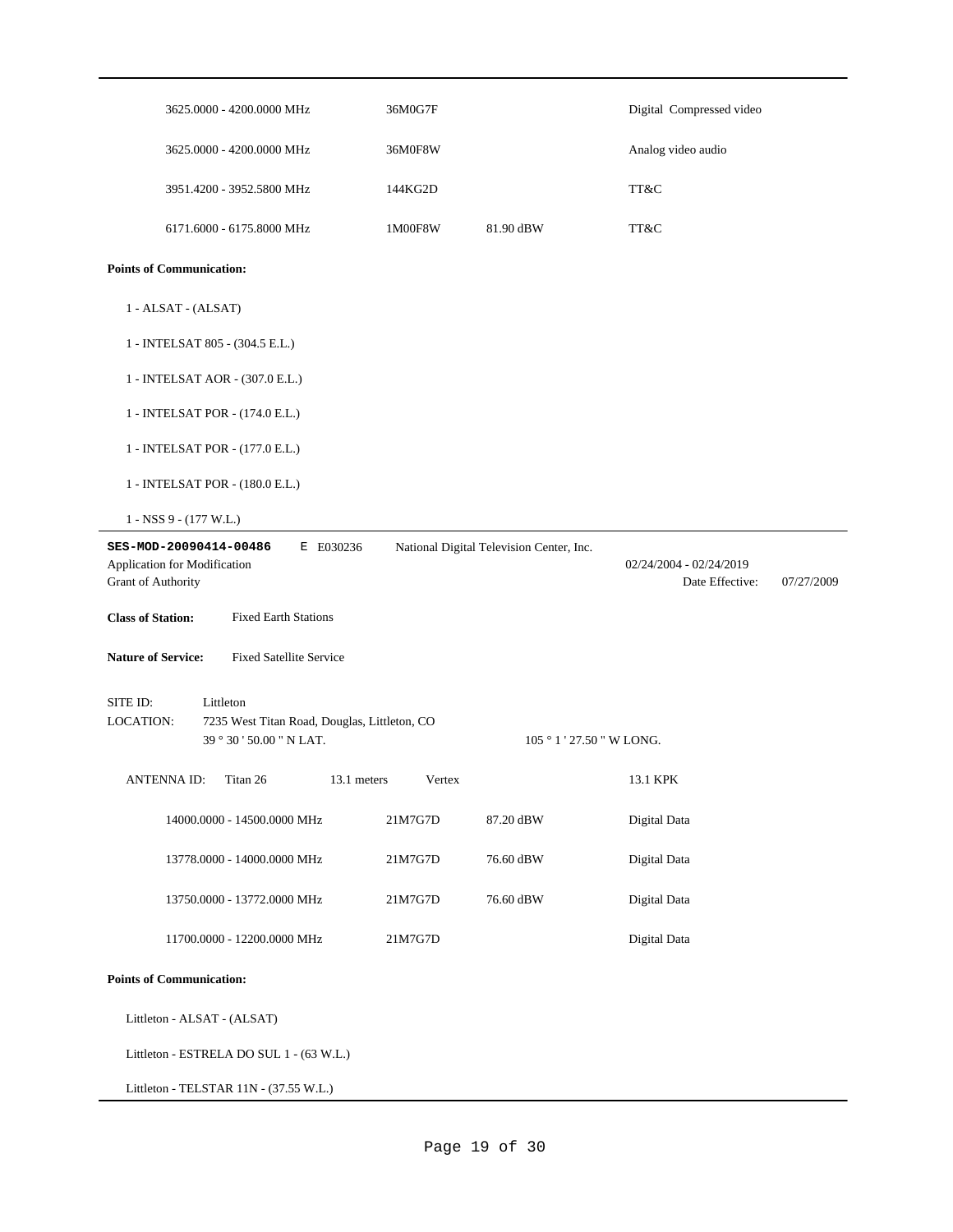| 3625.0000 - 4200.0000 MHz                                                                                      | 36M0G7F |                                          | Digital Compressed video                   |            |
|----------------------------------------------------------------------------------------------------------------|---------|------------------------------------------|--------------------------------------------|------------|
| 3625.0000 - 4200.0000 MHz                                                                                      | 36M0F8W |                                          | Analog video audio                         |            |
| 3951.4200 - 3952.5800 MHz                                                                                      | 144KG2D |                                          | TT&C                                       |            |
| 6171.6000 - 6175.8000 MHz                                                                                      | 1M00F8W | 81.90 dBW                                | TT&C                                       |            |
| <b>Points of Communication:</b>                                                                                |         |                                          |                                            |            |
| 1 - ALSAT - (ALSAT)                                                                                            |         |                                          |                                            |            |
| 1 - INTELSAT 805 - (304.5 E.L.)                                                                                |         |                                          |                                            |            |
| 1 - INTELSAT AOR - (307.0 E.L.)                                                                                |         |                                          |                                            |            |
| 1 - INTELSAT POR - (174.0 E.L.)                                                                                |         |                                          |                                            |            |
| 1 - INTELSAT POR - (177.0 E.L.)                                                                                |         |                                          |                                            |            |
| 1 - INTELSAT POR - (180.0 E.L.)                                                                                |         |                                          |                                            |            |
| $1 - NSS$ 9 - (177 W.L.)                                                                                       |         |                                          |                                            |            |
| E E030236<br>SES-MOD-20090414-00486<br>Application for Modification<br>Grant of Authority                      |         | National Digital Television Center, Inc. | 02/24/2004 - 02/24/2019<br>Date Effective: | 07/27/2009 |
| <b>Class of Station:</b><br><b>Fixed Earth Stations</b>                                                        |         |                                          |                                            |            |
| <b>Nature of Service:</b><br><b>Fixed Satellite Service</b>                                                    |         |                                          |                                            |            |
| SITE ID:<br>Littleton<br>LOCATION:<br>7235 West Titan Road, Douglas, Littleton, CO<br>39 ° 30 ' 50.00 " N LAT. |         |                                          | 105 ° 1 ' 27.50 " W LONG.                  |            |
| <b>ANTENNAID:</b><br>Titan 26<br>13.1 meters                                                                   | Vertex  |                                          | 13.1 KPK                                   |            |
| 14000.0000 - 14500.0000 MHz                                                                                    | 21M7G7D | 87.20 dBW                                | Digital Data                               |            |
| 13778.0000 - 14000.0000 MHz                                                                                    | 21M7G7D | 76.60 dBW                                | Digital Data                               |            |
| 13750.0000 - 13772.0000 MHz                                                                                    | 21M7G7D | 76.60 dBW                                | Digital Data                               |            |
| 11700.0000 - 12200.0000 MHz                                                                                    | 21M7G7D |                                          | Digital Data                               |            |
| <b>Points of Communication:</b>                                                                                |         |                                          |                                            |            |
| Littleton - ALSAT - (ALSAT)                                                                                    |         |                                          |                                            |            |
| Littleton - ESTRELA DO SUL 1 - (63 W.L.)                                                                       |         |                                          |                                            |            |
|                                                                                                                |         |                                          |                                            |            |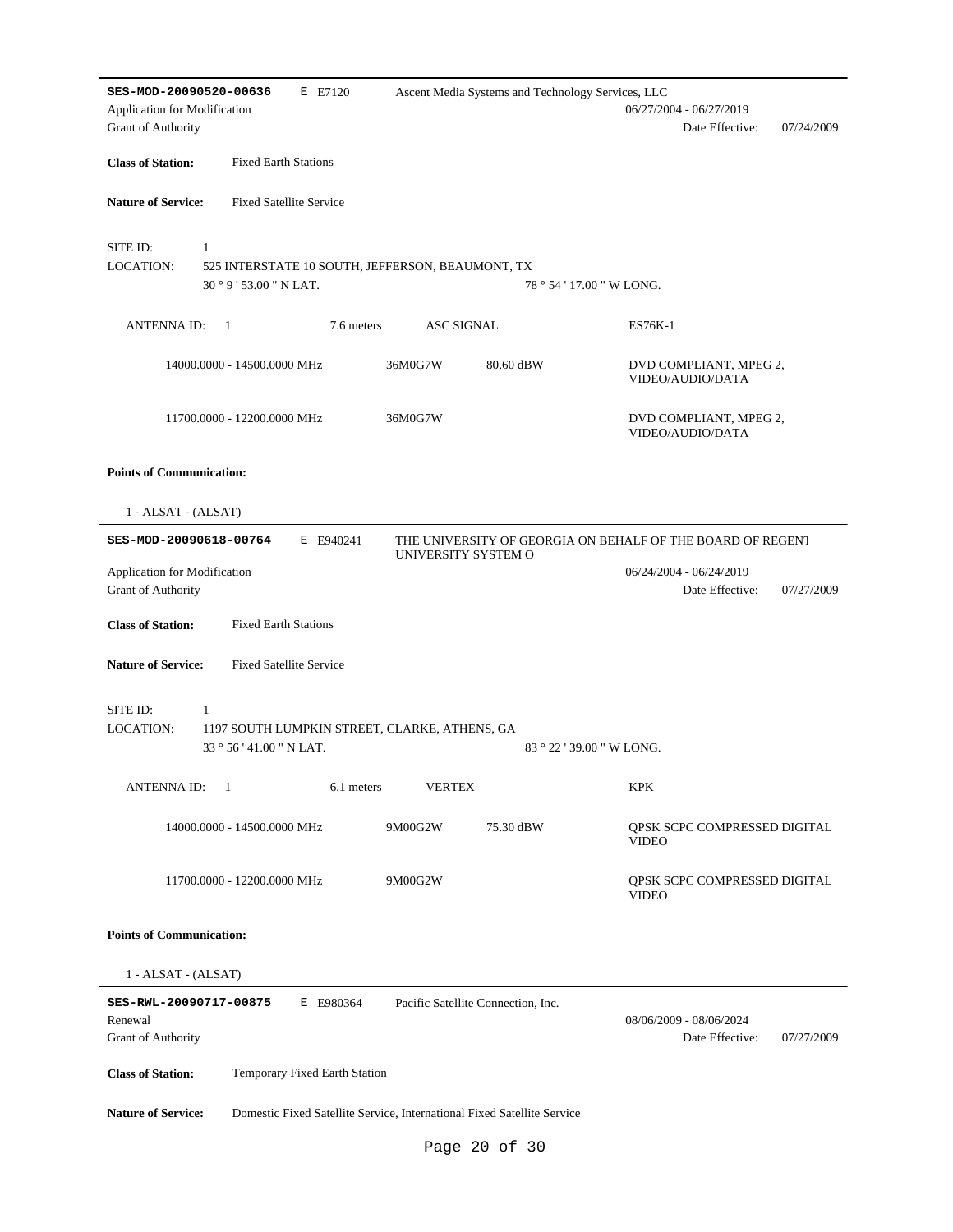| SES-MOD-20090520-00636                                  | E E7120                                                                                |                                    | Ascent Media Systems and Technology Services, LLC |                                                            |
|---------------------------------------------------------|----------------------------------------------------------------------------------------|------------------------------------|---------------------------------------------------|------------------------------------------------------------|
| Application for Modification<br>Grant of Authority      |                                                                                        |                                    |                                                   | 06/27/2004 - 06/27/2019<br>Date Effective:<br>07/24/2009   |
| <b>Class of Station:</b>                                | <b>Fixed Earth Stations</b>                                                            |                                    |                                                   |                                                            |
| <b>Nature of Service:</b>                               | <b>Fixed Satellite Service</b>                                                         |                                    |                                                   |                                                            |
| SITE ID:<br><b>LOCATION:</b>                            | $\mathbf{1}$<br>525 INTERSTATE 10 SOUTH, JEFFERSON, BEAUMONT, TX<br>30°9'53.00" N LAT. |                                    |                                                   | 78 ° 54 ' 17.00 " W LONG.                                  |
| <b>ANTENNA ID:</b>                                      | 7.6 meters<br>- 1                                                                      | <b>ASC SIGNAL</b>                  |                                                   | ES76K-1                                                    |
|                                                         | 14000.0000 - 14500.0000 MHz                                                            | 36M0G7W                            | 80.60 dBW                                         | DVD COMPLIANT, MPEG 2,<br>VIDEO/AUDIO/DATA                 |
|                                                         | 11700.0000 - 12200.0000 MHz                                                            | 36M0G7W                            |                                                   | DVD COMPLIANT, MPEG 2,<br>VIDEO/AUDIO/DATA                 |
| <b>Points of Communication:</b>                         |                                                                                        |                                    |                                                   |                                                            |
| 1 - ALSAT - (ALSAT)                                     |                                                                                        |                                    |                                                   |                                                            |
| SES-MOD-20090618-00764                                  | E E940241                                                                              | UNIVERSITY SYSTEM O                |                                                   | THE UNIVERSITY OF GEORGIA ON BEHALF OF THE BOARD OF REGENT |
| Application for Modification<br>Grant of Authority      |                                                                                        |                                    |                                                   | 06/24/2004 - 06/24/2019<br>Date Effective:<br>07/27/2009   |
| <b>Class of Station:</b>                                | <b>Fixed Earth Stations</b>                                                            |                                    |                                                   |                                                            |
| <b>Nature of Service:</b>                               | <b>Fixed Satellite Service</b>                                                         |                                    |                                                   |                                                            |
| SITE ID:<br><b>LOCATION:</b>                            | 1<br>1197 SOUTH LUMPKIN STREET, CLARKE, ATHENS, GA<br>33 ° 56 ' 41.00 " N LAT.         |                                    |                                                   | 83 ° 22 ' 39.00 " W LONG.                                  |
| <b>ANTENNA ID:</b>                                      | -1<br>6.1 meters                                                                       | <b>VERTEX</b>                      |                                                   | KPK                                                        |
|                                                         | 14000.0000 - 14500.0000 MHz                                                            | 9M00G2W                            | 75.30 dBW                                         | QPSK SCPC COMPRESSED DIGITAL<br><b>VIDEO</b>               |
|                                                         | 11700.0000 - 12200.0000 MHz                                                            | 9M00G2W                            |                                                   | QPSK SCPC COMPRESSED DIGITAL<br><b>VIDEO</b>               |
| <b>Points of Communication:</b>                         |                                                                                        |                                    |                                                   |                                                            |
| 1 - ALSAT - (ALSAT)                                     |                                                                                        |                                    |                                                   |                                                            |
| SES-RWL-20090717-00875<br>Renewal<br>Grant of Authority | E E980364                                                                              | Pacific Satellite Connection, Inc. |                                                   | 08/06/2009 - 08/06/2024<br>Date Effective:<br>07/27/2009   |
| <b>Class of Station:</b>                                | Temporary Fixed Earth Station                                                          |                                    |                                                   |                                                            |
| <b>Nature of Service:</b>                               | Domestic Fixed Satellite Service, International Fixed Satellite Service                |                                    |                                                   |                                                            |
|                                                         |                                                                                        |                                    | Page 20 of 30                                     |                                                            |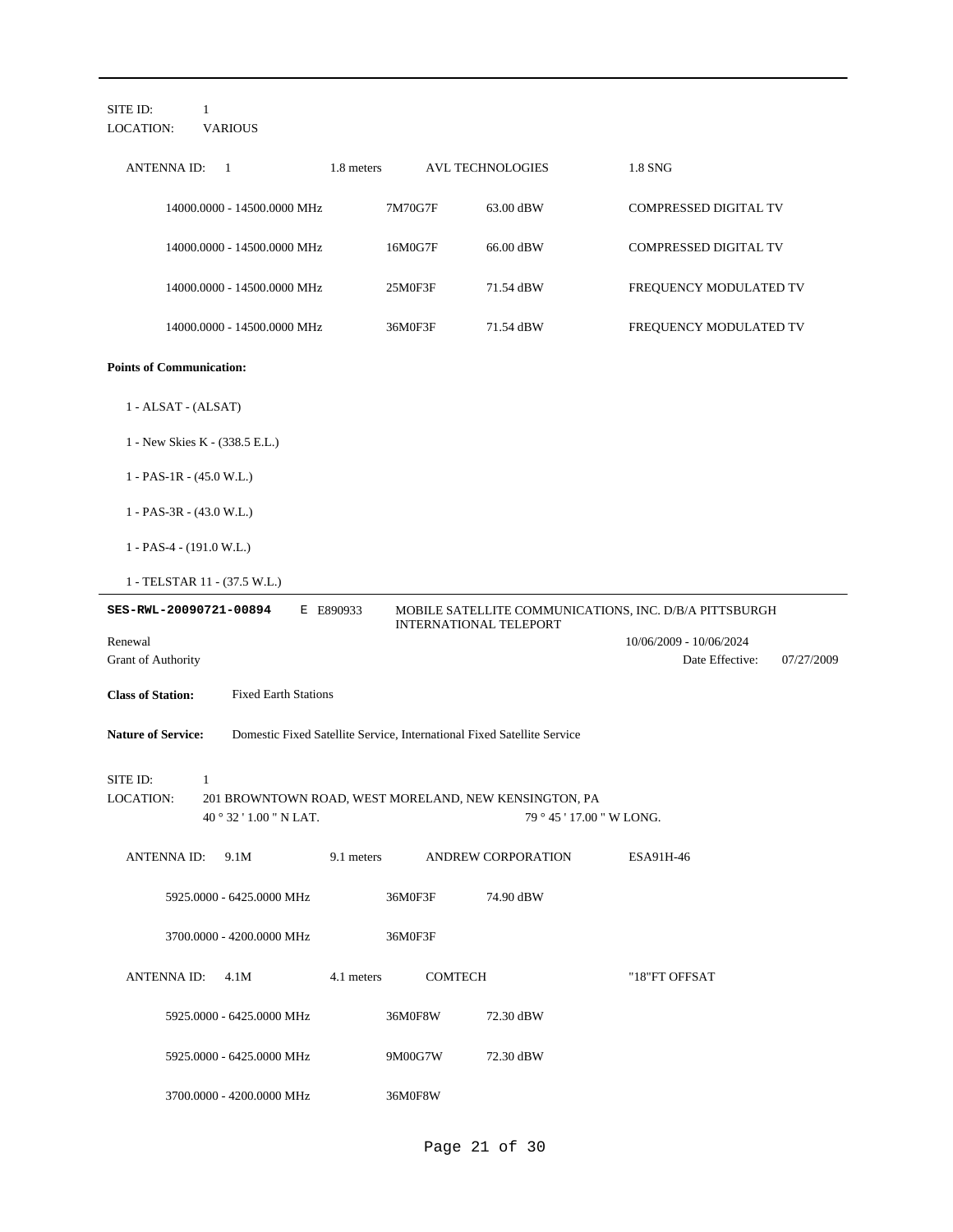| SITE ID:<br>$\mathbf{1}$<br><b>VARIOUS</b><br>LOCATION:                                                                                                            |                                                                         |                                                          |  |  |  |  |  |  |
|--------------------------------------------------------------------------------------------------------------------------------------------------------------------|-------------------------------------------------------------------------|----------------------------------------------------------|--|--|--|--|--|--|
| <b>ANTENNA ID:</b><br>1<br>1.8 meters                                                                                                                              | <b>AVL TECHNOLOGIES</b>                                                 | 1.8 SNG                                                  |  |  |  |  |  |  |
| 14000.0000 - 14500.0000 MHz                                                                                                                                        | 7M70G7F<br>63.00 dBW                                                    | COMPRESSED DIGITAL TV                                    |  |  |  |  |  |  |
| 14000.0000 - 14500.0000 MHz                                                                                                                                        | 16M0G7F<br>66.00 dBW                                                    | COMPRESSED DIGITAL TV                                    |  |  |  |  |  |  |
| 14000.0000 - 14500.0000 MHz                                                                                                                                        | 25M0F3F<br>71.54 dBW                                                    | FREQUENCY MODULATED TV                                   |  |  |  |  |  |  |
| 14000.0000 - 14500.0000 MHz                                                                                                                                        | 36M0F3F<br>71.54 dBW                                                    | FREQUENCY MODULATED TV                                   |  |  |  |  |  |  |
| <b>Points of Communication:</b>                                                                                                                                    |                                                                         |                                                          |  |  |  |  |  |  |
| 1 - ALSAT - (ALSAT)                                                                                                                                                |                                                                         |                                                          |  |  |  |  |  |  |
| 1 - New Skies K - (338.5 E.L.)                                                                                                                                     |                                                                         |                                                          |  |  |  |  |  |  |
| $1 - PAS-1R - (45.0 W.L.)$                                                                                                                                         |                                                                         |                                                          |  |  |  |  |  |  |
| $1 - PAS-3R - (43.0 W.L.)$                                                                                                                                         |                                                                         |                                                          |  |  |  |  |  |  |
| $1 - PAS-4 - (191.0 W.L.)$                                                                                                                                         |                                                                         |                                                          |  |  |  |  |  |  |
| 1 - TELSTAR 11 - (37.5 W.L.)                                                                                                                                       |                                                                         |                                                          |  |  |  |  |  |  |
| E E890933<br>SES-RWL-20090721-00894                                                                                                                                | <b>INTERNATIONAL TELEPORT</b>                                           | MOBILE SATELLITE COMMUNICATIONS, INC. D/B/A PITTSBURGH   |  |  |  |  |  |  |
| Renewal<br>Grant of Authority                                                                                                                                      |                                                                         | 10/06/2009 - 10/06/2024<br>Date Effective:<br>07/27/2009 |  |  |  |  |  |  |
| <b>Class of Station:</b><br><b>Fixed Earth Stations</b>                                                                                                            |                                                                         |                                                          |  |  |  |  |  |  |
| <b>Nature of Service:</b>                                                                                                                                          | Domestic Fixed Satellite Service, International Fixed Satellite Service |                                                          |  |  |  |  |  |  |
| SITE ID:<br>$\mathbf{1}$<br><b>LOCATION:</b><br>201 BROWNTOWN ROAD, WEST MORELAND, NEW KENSINGTON, PA<br>79 ° 45 ' 17.00 " W LONG.<br>$40^{\circ}32'1.00''$ N LAT. |                                                                         |                                                          |  |  |  |  |  |  |
| 9.1 meters<br>ANTENNA ID: 9.1M                                                                                                                                     | ANDREW CORPORATION                                                      | ESA91H-46                                                |  |  |  |  |  |  |
| 5925.0000 - 6425.0000 MHz                                                                                                                                          | 36M0F3F<br>74.90 dBW                                                    |                                                          |  |  |  |  |  |  |
| 3700.0000 - 4200.0000 MHz                                                                                                                                          | 36M0F3F                                                                 |                                                          |  |  |  |  |  |  |
| ANTENNA ID: 4.1M<br>4.1 meters                                                                                                                                     | COMTECH                                                                 | "18"FT OFFSAT                                            |  |  |  |  |  |  |
| 5925.0000 - 6425.0000 MHz                                                                                                                                          | 36M0F8W<br>72.30 dBW                                                    |                                                          |  |  |  |  |  |  |
| 5925.0000 - 6425.0000 MHz                                                                                                                                          | 9M00G7W<br>72.30 dBW                                                    |                                                          |  |  |  |  |  |  |
|                                                                                                                                                                    |                                                                         |                                                          |  |  |  |  |  |  |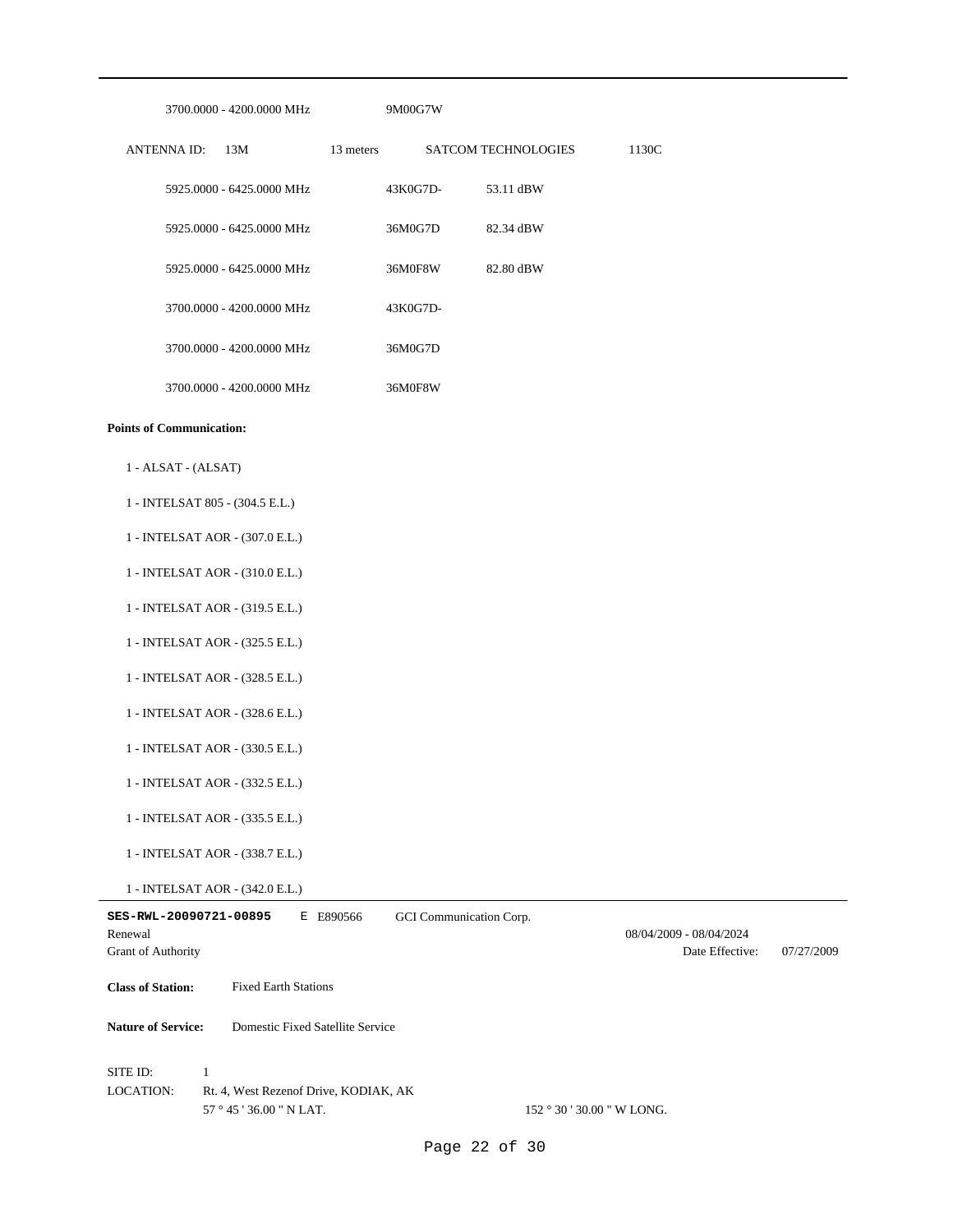| 3700.0000 - 4200.0000 MHz                                                                                         | 9M00G7W                              |                                            |            |
|-------------------------------------------------------------------------------------------------------------------|--------------------------------------|--------------------------------------------|------------|
| <b>ANTENNA ID:</b><br>13M                                                                                         | 13 meters<br>SATCOM TECHNOLOGIES     | 1130C                                      |            |
| 5925.0000 - 6425.0000 MHz                                                                                         | 43K0G7D-<br>53.11 dBW                |                                            |            |
| 5925.0000 - 6425.0000 MHz                                                                                         | 36M0G7D<br>82.34 dBW                 |                                            |            |
| 5925.0000 - 6425.0000 MHz                                                                                         | 36M0F8W<br>82.80 dBW                 |                                            |            |
| 3700.0000 - 4200.0000 MHz                                                                                         | 43K0G7D-                             |                                            |            |
| 3700.0000 - 4200.0000 MHz                                                                                         | 36M0G7D                              |                                            |            |
| 3700.0000 - 4200.0000 MHz                                                                                         | 36M0F8W                              |                                            |            |
| <b>Points of Communication:</b>                                                                                   |                                      |                                            |            |
| 1 - ALSAT - (ALSAT)                                                                                               |                                      |                                            |            |
| 1 - INTELSAT 805 - (304.5 E.L.)                                                                                   |                                      |                                            |            |
| 1 - INTELSAT AOR - (307.0 E.L.)                                                                                   |                                      |                                            |            |
| 1 - INTELSAT AOR - (310.0 E.L.)                                                                                   |                                      |                                            |            |
| 1 - INTELSAT AOR - (319.5 E.L.)                                                                                   |                                      |                                            |            |
| 1 - INTELSAT AOR - (325.5 E.L.)                                                                                   |                                      |                                            |            |
| 1 - INTELSAT AOR - (328.5 E.L.)                                                                                   |                                      |                                            |            |
| 1 - INTELSAT AOR - (328.6 E.L.)                                                                                   |                                      |                                            |            |
| 1 - INTELSAT AOR - (330.5 E.L.)                                                                                   |                                      |                                            |            |
| 1 - INTELSAT AOR - (332.5 E.L.)                                                                                   |                                      |                                            |            |
| 1 - INTELSAT AOR - (335.5 E.L.)                                                                                   |                                      |                                            |            |
| 1 - INTELSAT AOR - (338.7 E.L.)                                                                                   |                                      |                                            |            |
| 1 - INTELSAT AOR - (342.0 E.L.)                                                                                   |                                      |                                            |            |
| SES-RWL-20090721-00895<br>Renewal<br>Grant of Authority                                                           | E E890566<br>GCI Communication Corp. | 08/04/2009 - 08/04/2024<br>Date Effective: | 07/27/2009 |
| <b>Class of Station:</b><br><b>Fixed Earth Stations</b>                                                           |                                      |                                            |            |
| Domestic Fixed Satellite Service<br><b>Nature of Service:</b>                                                     |                                      |                                            |            |
| SITE ID:<br>$\mathbf{1}$<br><b>LOCATION:</b><br>Rt. 4, West Rezenof Drive, KODIAK, AK<br>57 ° 45 ' 36.00 " N LAT. |                                      | 152 ° 30 ' 30.00 " W LONG.                 |            |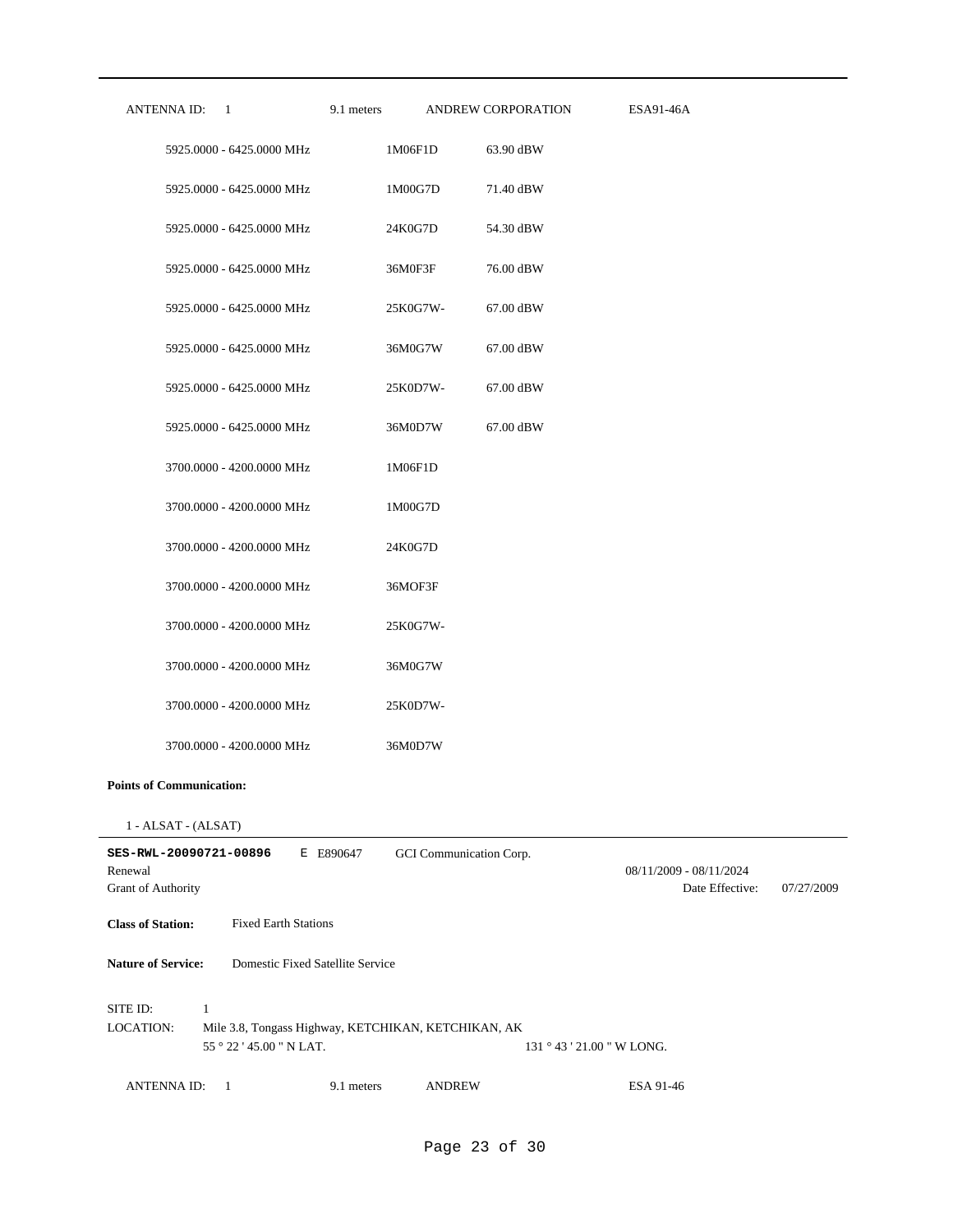| ANTENNA ID: 1 |                           | 9.1 meters | ANDREW CORPORATION | ESA91-46A |
|---------------|---------------------------|------------|--------------------|-----------|
|               | 5925,0000 - 6425,0000 MHz | 1M06F1D    | 63.90 dBW          |           |
|               | 5925,0000 - 6425,0000 MHz | 1M00G7D    | 71.40 dBW          |           |
|               | 5925.0000 - 6425.0000 MHz | 24K0G7D    | 54.30 dBW          |           |
|               | 5925.0000 - 6425.0000 MHz | 36M0F3F    | 76.00 dBW          |           |
|               | 5925.0000 - 6425.0000 MHz | 25K0G7W-   | 67.00 dBW          |           |
|               | 5925.0000 - 6425.0000 MHz | 36M0G7W    | 67.00 dBW          |           |
|               | 5925.0000 - 6425.0000 MHz | 25K0D7W-   | 67.00 dBW          |           |
|               | 5925.0000 - 6425.0000 MHz | 36M0D7W    | 67.00 dBW          |           |
|               | 3700.0000 - 4200.0000 MHz | 1M06F1D    |                    |           |
|               | 3700.0000 - 4200.0000 MHz | 1M00G7D    |                    |           |
|               | 3700.0000 - 4200.0000 MHz | 24K0G7D    |                    |           |
|               | 3700.0000 - 4200.0000 MHz | 36MOF3F    |                    |           |
|               | 3700.0000 - 4200.0000 MHz | 25K0G7W-   |                    |           |
|               | 3700.0000 - 4200.0000 MHz | 36M0G7W    |                    |           |
|               | 3700.0000 - 4200.0000 MHz | 25K0D7W-   |                    |           |
|               | 3700.0000 - 4200.0000 MHz | 36M0D7W    |                    |           |

### **Points of Communication:**

<sup>1 -</sup> ALSAT - (ALSAT)

| SES-RWL-20090721-00896<br>Renewal<br><b>Grant of Authority</b> | Е                           | E890647                          | GCI Communication Corp.                             |                         | 08/11/2009 - 08/11/2024<br>Date Effective: | 07/27/2009 |
|----------------------------------------------------------------|-----------------------------|----------------------------------|-----------------------------------------------------|-------------------------|--------------------------------------------|------------|
| <b>Class of Station:</b>                                       | <b>Fixed Earth Stations</b> |                                  |                                                     |                         |                                            |            |
| <b>Nature of Service:</b>                                      |                             | Domestic Fixed Satellite Service |                                                     |                         |                                            |            |
| SITE ID:<br><b>LOCATION:</b>                                   | 55°22'45.00"N LAT.          |                                  | Mile 3.8, Tongass Highway, KETCHIKAN, KETCHIKAN, AK | $131°43'21.00"$ W LONG. |                                            |            |
| <b>ANTENNAID:</b>                                              |                             | 9.1 meters                       | <b>ANDREW</b>                                       | ESA 91-46               |                                            |            |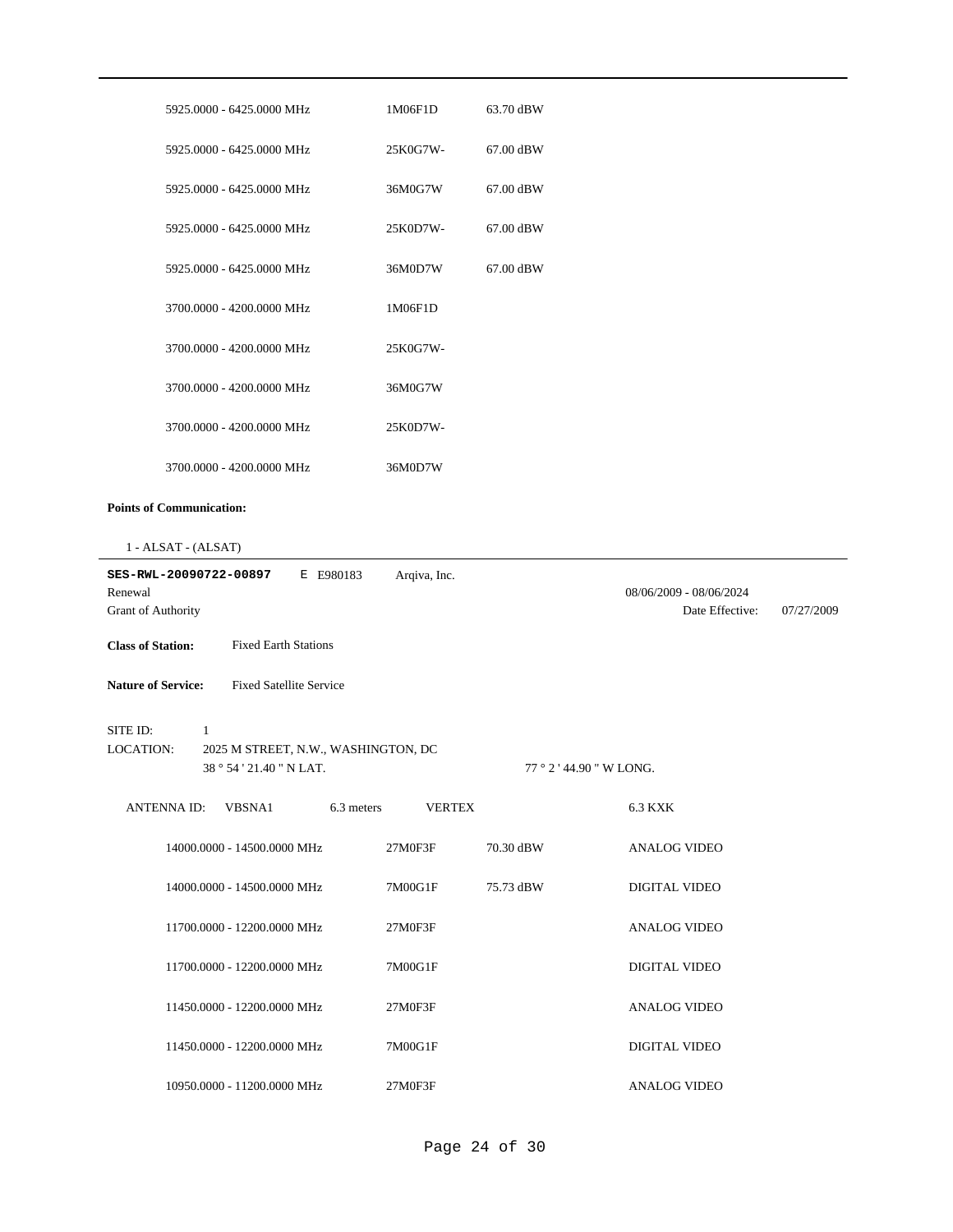| 5925,0000 - 6425,0000 MHz           | 1M06F1D      | 63.70 dBW |                         |            |
|-------------------------------------|--------------|-----------|-------------------------|------------|
| 5925,0000 - 6425,0000 MHz           | 25K0G7W-     | 67.00 dBW |                         |            |
| 5925,0000 - 6425,0000 MHz           | 36M0G7W      | 67.00 dBW |                         |            |
| 5925.0000 - 6425.0000 MHz           | 25K0D7W-     | 67.00 dBW |                         |            |
| 5925,0000 - 6425,0000 MHz           | 36M0D7W      | 67.00 dBW |                         |            |
| 3700.0000 - 4200.0000 MHz           | 1M06F1D      |           |                         |            |
| 3700.0000 - 4200.0000 MHz           | 25K0G7W-     |           |                         |            |
| 3700.0000 - 4200.0000 MHz           | 36M0G7W      |           |                         |            |
| 3700.0000 - 4200.0000 MHz           | 25K0D7W-     |           |                         |            |
| 3700.0000 - 4200.0000 MHz           | 36M0D7W      |           |                         |            |
| <b>Points of Communication:</b>     |              |           |                         |            |
| 1 - ALSAT - (ALSAT)                 |              |           |                         |            |
| E E980183<br>SES-RWL-20090722-00897 | Arqiva, Inc. |           |                         |            |
| Renewal                             |              |           | 08/06/2009 - 08/06/2024 |            |
| Grant of Authority                  |              |           | Date Effective:         | 07/27/2009 |

**Nature of Service:** Fixed Satellite Service

### SITE ID: 1

38 ° 54 ' 21.40 " N LAT. 2025 M STREET, N.W., WASHINGTON, DC LOCATION:

#### 77 ° 2 ' 44.90 " W LONG.

| <b>ANTENNA ID:</b><br>VBSNA1 | 6.3 meters<br><b>VERTEX</b> |           | 6.3 KXK             |
|------------------------------|-----------------------------|-----------|---------------------|
| 14000.0000 - 14500.0000 MHz  | 27M0F3F                     | 70.30 dBW | ANALOG VIDEO        |
| 14000.0000 - 14500.0000 MHz  | 7M00G1F                     | 75.73 dBW | DIGITAL VIDEO       |
| 11700.0000 - 12200.0000 MHz  | 27M0F3F                     |           | <b>ANALOG VIDEO</b> |
| 11700.0000 - 12200.0000 MHz  | 7M00G1F                     |           | DIGITAL VIDEO       |
| 11450.0000 - 12200.0000 MHz  | 27M0F3F                     |           | ANALOG VIDEO        |
| 11450.0000 - 12200.0000 MHz  | 7M00G1F                     |           | DIGITAL VIDEO       |
| 10950.0000 - 11200.0000 MHz  | 27M0F3F                     |           | <b>ANALOG VIDEO</b> |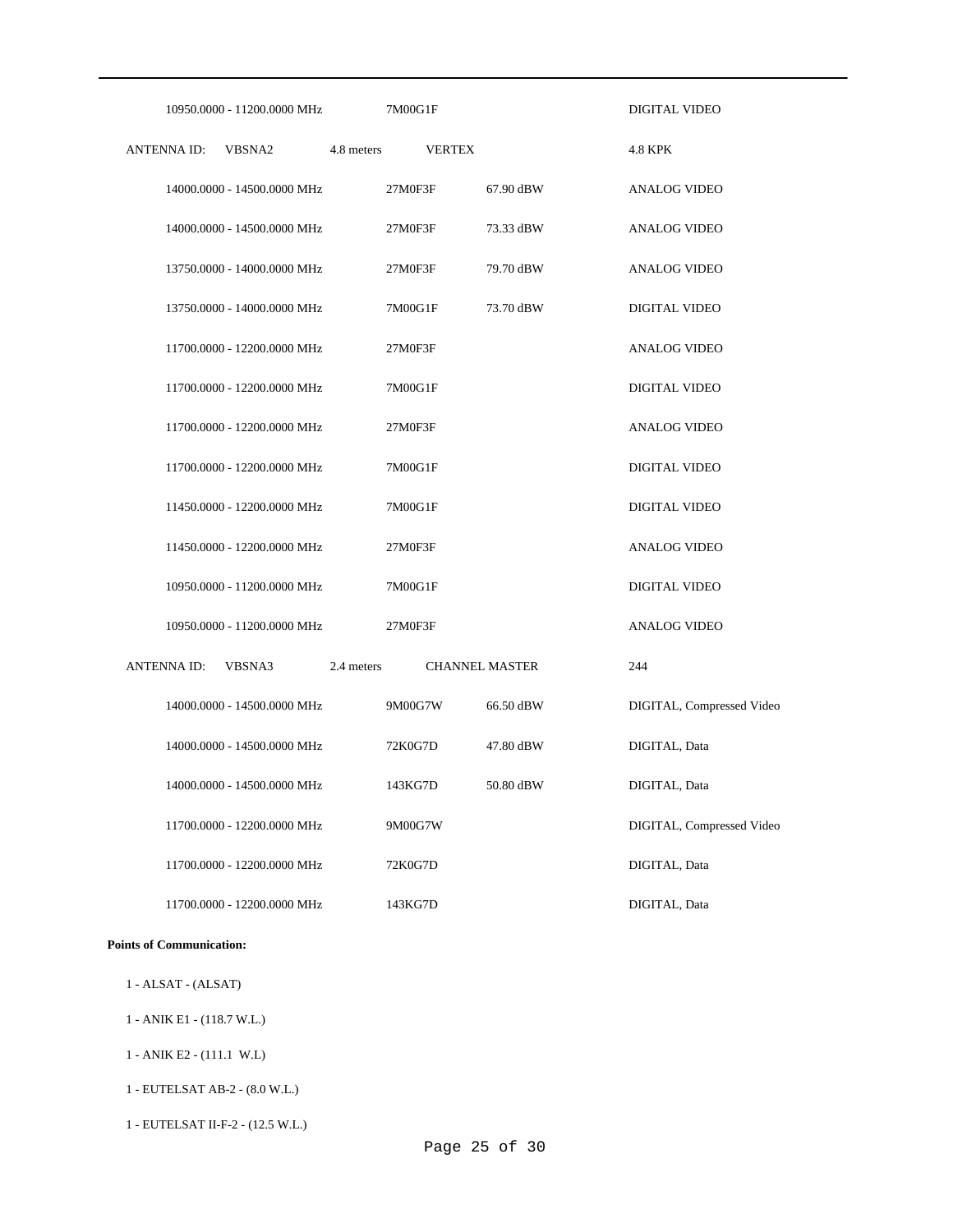| 10950.0000 - 11200.0000 MHz | 7M00G1F                             |           | DIGITAL VIDEO             |
|-----------------------------|-------------------------------------|-----------|---------------------------|
| <b>ANTENNAID:</b><br>VBSNA2 | 4.8 meters<br><b>VERTEX</b>         |           | <b>4.8 KPK</b>            |
| 14000.0000 - 14500.0000 MHz | 27M0F3F                             | 67.90 dBW | <b>ANALOG VIDEO</b>       |
| 14000.0000 - 14500.0000 MHz | 27M0F3F                             | 73.33 dBW | <b>ANALOG VIDEO</b>       |
| 13750.0000 - 14000.0000 MHz | 27M0F3F                             | 79.70 dBW | <b>ANALOG VIDEO</b>       |
| 13750.0000 - 14000.0000 MHz | 7M00G1F                             | 73.70 dBW | <b>DIGITAL VIDEO</b>      |
| 11700.0000 - 12200.0000 MHz | 27M0F3F                             |           | <b>ANALOG VIDEO</b>       |
| 11700.0000 - 12200.0000 MHz | 7M00G1F                             |           | DIGITAL VIDEO             |
| 11700.0000 - 12200.0000 MHz | 27M0F3F                             |           | <b>ANALOG VIDEO</b>       |
| 11700.0000 - 12200.0000 MHz | 7M00G1F                             |           | DIGITAL VIDEO             |
| 11450.0000 - 12200.0000 MHz | 7M00G1F                             |           | <b>DIGITAL VIDEO</b>      |
| 11450.0000 - 12200.0000 MHz | 27M0F3F                             |           | <b>ANALOG VIDEO</b>       |
| 10950.0000 - 11200.0000 MHz | 7M00G1F                             |           | DIGITAL VIDEO             |
| 10950.0000 - 11200.0000 MHz | 27M0F3F                             |           | <b>ANALOG VIDEO</b>       |
| ANTENNA ID:<br>VBSNA3       | 2.4 meters<br><b>CHANNEL MASTER</b> |           | 244                       |
| 14000.0000 - 14500.0000 MHz | 9M00G7W                             | 66.50 dBW | DIGITAL, Compressed Video |
| 14000.0000 - 14500.0000 MHz | 72K0G7D                             | 47.80 dBW | DIGITAL, Data             |
| 14000.0000 - 14500.0000 MHz | 143KG7D                             | 50.80 dBW | DIGITAL, Data             |
| 11700.0000 - 12200.0000 MHz | 9M00G7W                             |           | DIGITAL, Compressed Video |
| 11700.0000 - 12200.0000 MHz | 72K0G7D                             |           | DIGITAL, Data             |
| 11700.0000 - 12200.0000 MHz | 143KG7D                             |           | DIGITAL, Data             |

## **Points of Communication:**

- 1 ALSAT (ALSAT)
- 1 ANIK E1 (118.7 W.L.)
- 1 ANIK E2 (111.1 W.L)
- 1 EUTELSAT AB-2 (8.0 W.L.)
- 1 EUTELSAT II-F-2 (12.5 W.L.)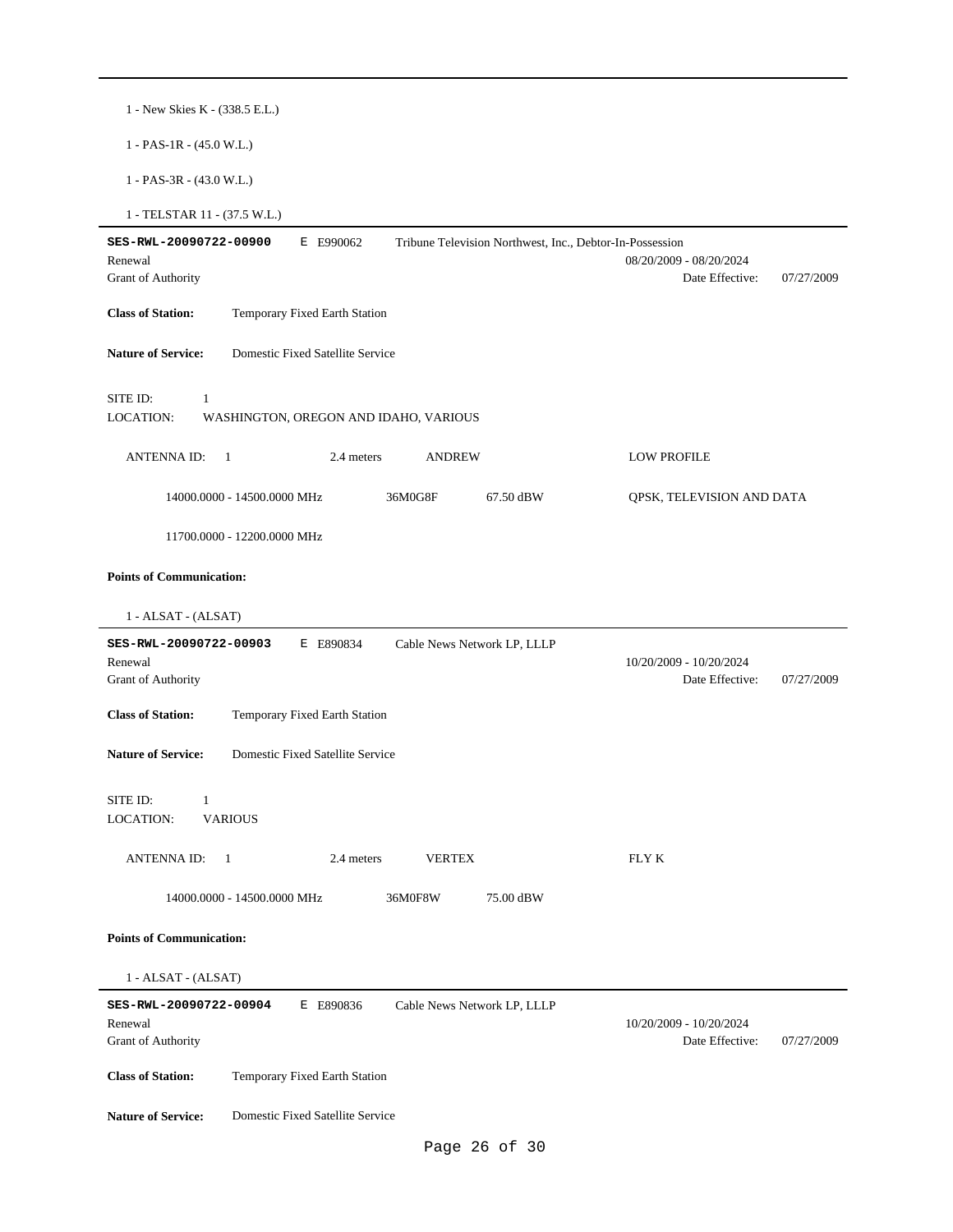|  | 1 - New Skies K - (338.5 E.L.) |  |  |  |  |  |  |
|--|--------------------------------|--|--|--|--|--|--|
|--|--------------------------------|--|--|--|--|--|--|

1 - PAS-1R - (45.0 W.L.)

1 - PAS-3R - (43.0 W.L.)

1 - TELSTAR 11 - (37.5 W.L.)

| SES-RWL-20090722-00900<br>E E990062<br>Tribune Television Northwest, Inc., Debtor-In-Possession     |                                                          |
|-----------------------------------------------------------------------------------------------------|----------------------------------------------------------|
| Renewal                                                                                             | 08/20/2009 - 08/20/2024                                  |
| <b>Grant of Authority</b>                                                                           | Date Effective:<br>07/27/2009                            |
| <b>Class of Station:</b><br>Temporary Fixed Earth Station                                           |                                                          |
| <b>Nature of Service:</b><br>Domestic Fixed Satellite Service                                       |                                                          |
| SITE ID:<br>1<br>LOCATION:<br>WASHINGTON, OREGON AND IDAHO, VARIOUS                                 |                                                          |
| <b>ANTENNAID:</b><br>$\overline{1}$<br>2.4 meters<br><b>ANDREW</b>                                  | <b>LOW PROFILE</b>                                       |
| 36M0G8F<br>14000.0000 - 14500.0000 MHz<br>67.50 dBW                                                 | QPSK, TELEVISION AND DATA                                |
| 11700.0000 - 12200.0000 MHz                                                                         |                                                          |
| <b>Points of Communication:</b>                                                                     |                                                          |
| 1 - ALSAT - (ALSAT)                                                                                 |                                                          |
| SES-RWL-20090722-00903<br>E E890834<br>Cable News Network LP, LLLP                                  |                                                          |
| Renewal                                                                                             | 10/20/2009 - 10/20/2024                                  |
| Grant of Authority                                                                                  | Date Effective:<br>07/27/2009                            |
| <b>Class of Station:</b><br>Temporary Fixed Earth Station                                           |                                                          |
| <b>Nature of Service:</b><br>Domestic Fixed Satellite Service                                       |                                                          |
| SITE ID:<br>1                                                                                       |                                                          |
| <b>VARIOUS</b><br>LOCATION:                                                                         |                                                          |
| <b>ANTENNA ID:</b><br>2.4 meters<br><b>VERTEX</b><br>$\overline{1}$                                 | FLY K                                                    |
| 14000.0000 - 14500.0000 MHz<br>36M0F8W<br>75.00 dBW                                                 |                                                          |
| <b>Points of Communication:</b>                                                                     |                                                          |
| 1 - ALSAT - (ALSAT)                                                                                 |                                                          |
| SES-RWL-20090722-00904<br>E E890836<br>Cable News Network LP, LLLP<br>Renewal<br>Grant of Authority | 10/20/2009 - 10/20/2024<br>Date Effective:<br>07/27/2009 |
| <b>Class of Station:</b><br>Temporary Fixed Earth Station                                           |                                                          |
| Domestic Fixed Satellite Service<br><b>Nature of Service:</b>                                       |                                                          |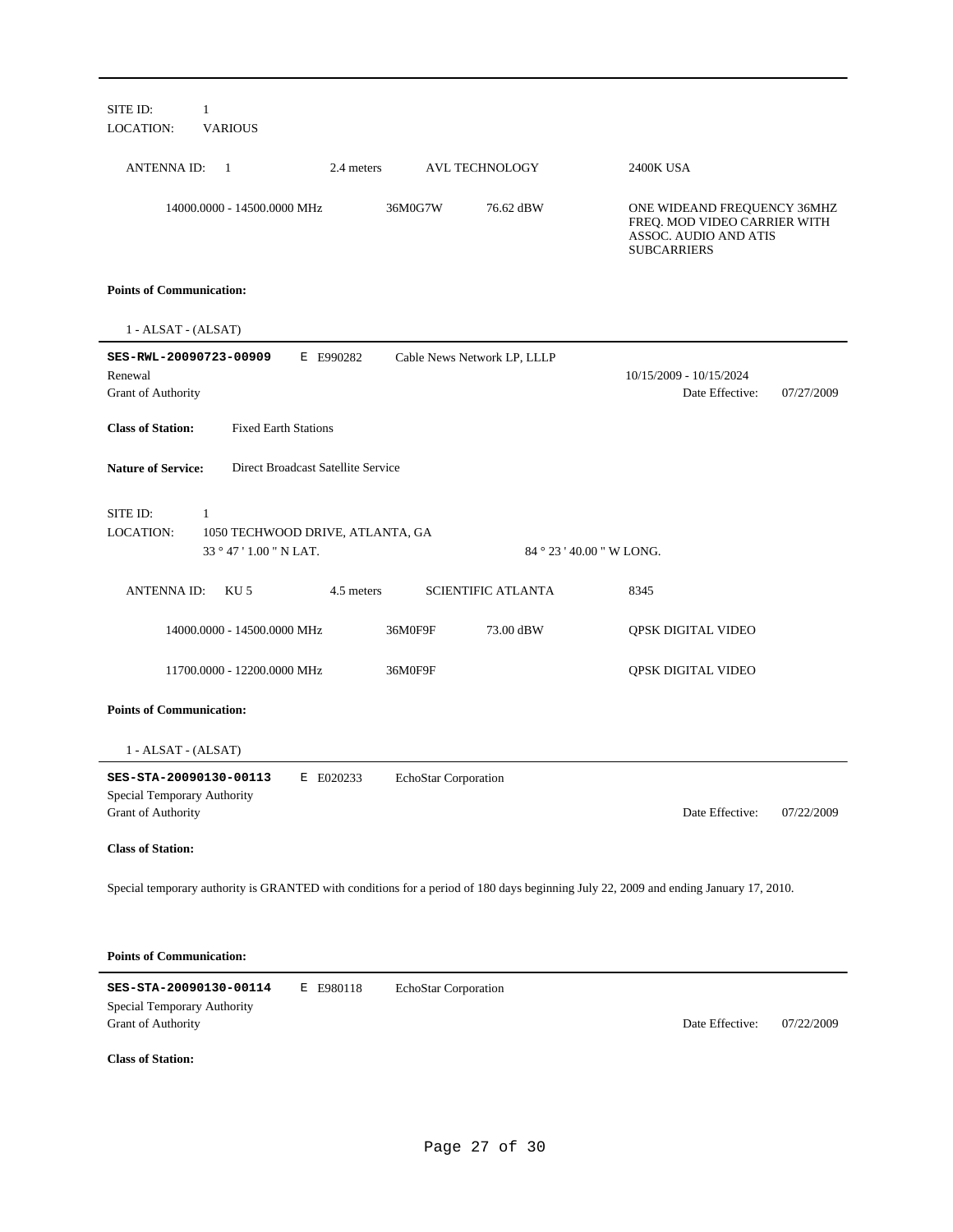| SITE ID:<br>$\mathbf{1}$<br><b>LOCATION:</b><br><b>VARIOUS</b>                                                                       |                                                                                                            |  |  |  |
|--------------------------------------------------------------------------------------------------------------------------------------|------------------------------------------------------------------------------------------------------------|--|--|--|
| <b>ANTENNAID:</b><br>2.4 meters<br><b>AVL TECHNOLOGY</b><br>-1                                                                       | 2400K USA                                                                                                  |  |  |  |
| 14000.0000 - 14500.0000 MHz<br>36M0G7W<br>76.62 dBW                                                                                  | ONE WIDEAND FREQUENCY 36MHZ<br>FREQ. MOD VIDEO CARRIER WITH<br>ASSOC. AUDIO AND ATIS<br><b>SUBCARRIERS</b> |  |  |  |
| <b>Points of Communication:</b>                                                                                                      |                                                                                                            |  |  |  |
| 1 - ALSAT - (ALSAT)                                                                                                                  |                                                                                                            |  |  |  |
| SES-RWL-20090723-00909<br>E E990282<br>Cable News Network LP, LLLP<br>Renewal<br>Grant of Authority                                  | 10/15/2009 - 10/15/2024<br>Date Effective:<br>07/27/2009                                                   |  |  |  |
| <b>Fixed Earth Stations</b><br><b>Class of Station:</b>                                                                              |                                                                                                            |  |  |  |
| <b>Nature of Service:</b><br>Direct Broadcast Satellite Service                                                                      |                                                                                                            |  |  |  |
| SITE ID:<br>-1<br><b>LOCATION:</b><br>1050 TECHWOOD DRIVE, ATLANTA, GA<br>33 ° 47 ' 1.00 " N LAT.<br>84 ° 23 ' 40.00 " W LONG.       |                                                                                                            |  |  |  |
| <b>ANTENNAID:</b><br>KU 5<br>4.5 meters<br><b>SCIENTIFIC ATLANTA</b>                                                                 | 8345                                                                                                       |  |  |  |
| 14000.0000 - 14500.0000 MHz<br>36M0F9F<br>73.00 dBW                                                                                  | QPSK DIGITAL VIDEO                                                                                         |  |  |  |
| 11700.0000 - 12200.0000 MHz<br>36M0F9F                                                                                               | QPSK DIGITAL VIDEO                                                                                         |  |  |  |
| <b>Points of Communication:</b>                                                                                                      |                                                                                                            |  |  |  |
| $1 - ALSAT - (ALSAT)$                                                                                                                |                                                                                                            |  |  |  |
| SES-STA-20090130-00113<br>E E020233<br>EchoStar Corporation<br>Special Temporary Authority<br>Grant of Authority                     | Date Effective:<br>07/22/2009                                                                              |  |  |  |
| <b>Class of Station:</b>                                                                                                             |                                                                                                            |  |  |  |
| Special temporary authority is GRANTED with conditions for a period of 180 days beginning July 22, 2009 and ending January 17, 2010. |                                                                                                            |  |  |  |
| <b>Points of Communication:</b>                                                                                                      |                                                                                                            |  |  |  |
| SES-STA-20090130-00114<br>E E980118<br>EchoStar Corporation<br>Special Temporary Authority<br>Grant of Authority                     | Date Effective:<br>07/22/2009                                                                              |  |  |  |
| <b>Class of Station:</b>                                                                                                             |                                                                                                            |  |  |  |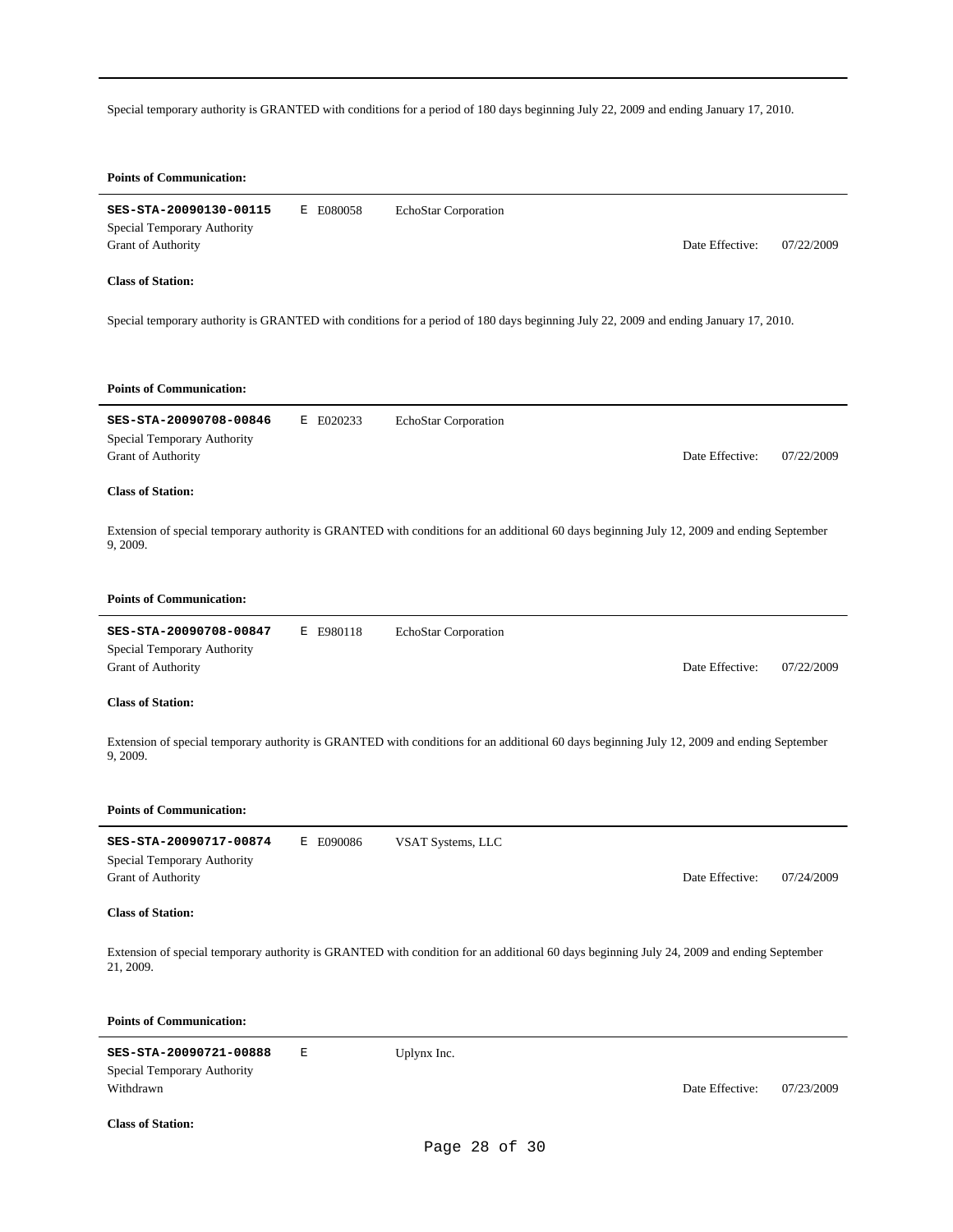Special temporary authority is GRANTED with conditions for a period of 180 days beginning July 22, 2009 and ending January 17, 2010.

| <b>Points of Communication:</b>                                                    |           |                                                                                                                                            |                 |            |
|------------------------------------------------------------------------------------|-----------|--------------------------------------------------------------------------------------------------------------------------------------------|-----------------|------------|
| SES-STA-20090130-00115<br>Special Temporary Authority<br><b>Grant of Authority</b> | E E080058 | EchoStar Corporation                                                                                                                       | Date Effective: | 07/22/2009 |
| <b>Class of Station:</b>                                                           |           |                                                                                                                                            |                 |            |
|                                                                                    |           | Special temporary authority is GRANTED with conditions for a period of 180 days beginning July 22, 2009 and ending January 17, 2010.       |                 |            |
| <b>Points of Communication:</b>                                                    |           |                                                                                                                                            |                 |            |
| SES-STA-20090708-00846<br>Special Temporary Authority<br>Grant of Authority        | E E020233 | EchoStar Corporation                                                                                                                       | Date Effective: | 07/22/2009 |
| <b>Class of Station:</b>                                                           |           |                                                                                                                                            |                 |            |
| 9, 2009.                                                                           |           | Extension of special temporary authority is GRANTED with conditions for an additional 60 days beginning July 12, 2009 and ending September |                 |            |
| <b>Points of Communication:</b>                                                    |           |                                                                                                                                            |                 |            |
| SES-STA-20090708-00847<br>Special Temporary Authority<br>Grant of Authority        | E E980118 | EchoStar Corporation                                                                                                                       | Date Effective: | 07/22/2009 |
| <b>Class of Station:</b>                                                           |           |                                                                                                                                            |                 |            |
| 9, 2009.                                                                           |           | Extension of special temporary authority is GRANTED with conditions for an additional 60 days beginning July 12, 2009 and ending September |                 |            |
| <b>Points of Communication:</b>                                                    |           |                                                                                                                                            |                 |            |
| SES-STA-20090717-00874<br>Special Temporary Authority<br><b>Grant of Authority</b> | E E090086 | VSAT Systems, LLC                                                                                                                          | Date Effective: | 07/24/2009 |
| <b>Class of Station:</b>                                                           |           |                                                                                                                                            |                 |            |
| 21, 2009.                                                                          |           | Extension of special temporary authority is GRANTED with condition for an additional 60 days beginning July 24, 2009 and ending September  |                 |            |
| <b>Points of Communication:</b>                                                    |           |                                                                                                                                            |                 |            |
| SES-STA-20090721-00888<br>Special Temporary Authority<br>Withdrawn                 | E         | Uplynx Inc.                                                                                                                                | Date Effective: | 07/23/2009 |

**Class of Station:**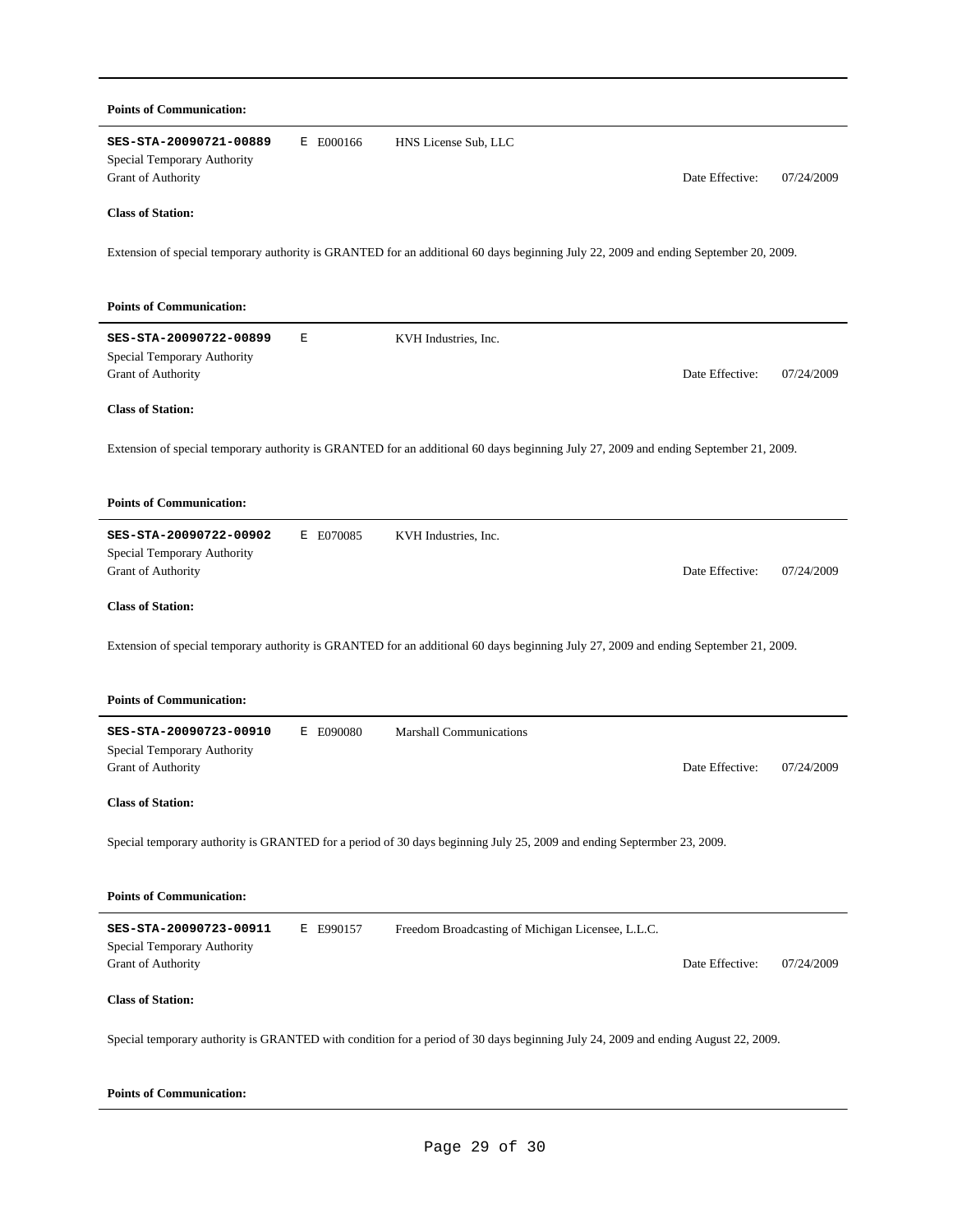| <b>Points of Communication:</b>                                                                                                               |                 |            |
|-----------------------------------------------------------------------------------------------------------------------------------------------|-----------------|------------|
| SES-STA-20090721-00889<br>E E000166<br>HNS License Sub, LLC<br>Special Temporary Authority<br>Grant of Authority                              | Date Effective: | 07/24/2009 |
| <b>Class of Station:</b>                                                                                                                      |                 |            |
| Extension of special temporary authority is GRANTED for an additional 60 days beginning July 22, 2009 and ending September 20, 2009.          |                 |            |
| <b>Points of Communication:</b>                                                                                                               |                 |            |
| SES-STA-20090722-00899<br>Е<br>KVH Industries, Inc.<br>Special Temporary Authority<br>Grant of Authority                                      | Date Effective: | 07/24/2009 |
| <b>Class of Station:</b>                                                                                                                      |                 |            |
| Extension of special temporary authority is GRANTED for an additional 60 days beginning July 27, 2009 and ending September 21, 2009.          |                 |            |
| <b>Points of Communication:</b>                                                                                                               |                 |            |
| SES-STA-20090722-00902<br>E E070085<br>KVH Industries, Inc.<br>Special Temporary Authority<br>Grant of Authority                              | Date Effective: | 07/24/2009 |
| <b>Class of Station:</b>                                                                                                                      |                 |            |
| Extension of special temporary authority is GRANTED for an additional 60 days beginning July 27, 2009 and ending September 21, 2009.          |                 |            |
| <b>Points of Communication:</b>                                                                                                               |                 |            |
| SES-STA-20090723-00910<br>E E090080<br><b>Marshall Communications</b><br>Special Temporary Authority                                          |                 |            |
| <b>Grant of Authority</b>                                                                                                                     | Date Effective: | 07/24/2009 |
| <b>Class of Station:</b>                                                                                                                      |                 |            |
| Special temporary authority is GRANTED for a period of 30 days beginning July 25, 2009 and ending Septermber 23, 2009.                        |                 |            |
| <b>Points of Communication:</b>                                                                                                               |                 |            |
| SES-STA-20090723-00911<br>Freedom Broadcasting of Michigan Licensee, L.L.C.<br>E E990157<br>Special Temporary Authority<br>Grant of Authority | Date Effective: | 07/24/2009 |
| <b>Class of Station:</b>                                                                                                                      |                 |            |
| Special temporary authority is GRANTED with condition for a period of 30 days beginning July 24, 2009 and ending August 22, 2009.             |                 |            |

# **Points of Communication:**